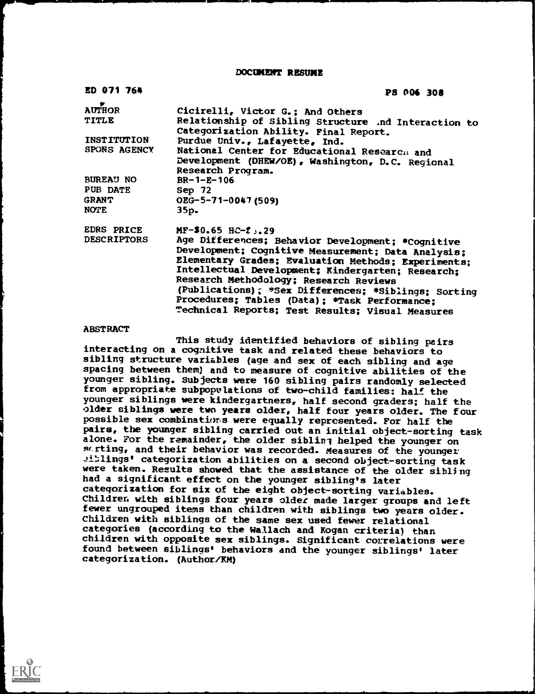DOCUMENT RESUME

| ED 071 764         | <b>PS 006 308</b>                                                                                        |
|--------------------|----------------------------------------------------------------------------------------------------------|
| <b>AUTHOR</b>      | Cicirelli, Victor G.; And Others                                                                         |
| <b>TITLE</b>       | Relationship of Sibling Structure .nd Interaction to<br>Categorization Ability. Final Report.            |
| INSTITUTION        | Purdue Univ., Lafayette, Ind.                                                                            |
| SPONS AGENCY       | National Center for Educational Research and                                                             |
|                    | Development (DHEW/OE), Washington, D.C. Regional                                                         |
| <b>BUREAU NO</b>   | Research Program.<br>$BR - 1 - E - 106$                                                                  |
| PUB DATE           | Sep 72                                                                                                   |
| <b>GRANT</b>       | OEG-5-71-0047 (509)                                                                                      |
| <b>NOTE</b>        | 35p.                                                                                                     |
| <b>EDRS PRICE</b>  | $MF-$0.65$ $HC-2$ , 29                                                                                   |
| <b>DESCRIPTORS</b> | Age Differences; Behavior Development; *Cognitive                                                        |
|                    | Development; Cognitive Measurement; Data Analysis;                                                       |
|                    | Elementary Grades; Evaluation Methods; Experiments;<br>Intellectual Development; Kindergarten; Research; |
|                    | Research Methodology; Research Reviews                                                                   |
|                    | (Publications); *Sex Differences; *Siblings; Sorting                                                     |
|                    | Procedures; Tables (Data); *Task Performance;                                                            |
|                    | Technical Reports; Test Results; Visual Measures                                                         |

### **ABSTRACT**

This study identified behaviors of sibling pairs interacting on a cognitive task and related these behaviors to sibling structure variables (age and sex of each sibling and age spacing between them) and to measure of cognitive abilities of the younger sibling. subjects were 160 sibling pairs randomly selected from appropriate subpopvlations of two-child families: half the younger siblings were kindergartners, half second graders; half the older siblings were two years older, half four years older. The four possible sex combinations were equally represented. For half the pairs, the younger sibling carried out an initial object-sorting task alone. For the remainder, the older sibling helped the younger on sorting, and their behavior was recorded. Measures of the younger 21:1ings' categorization abilities on a second object-sorting task were taken. Results showed that the assistance of the older sibling had a significant effect on the younger sibling's later categorization for six of the eight object-sorting variables. Children with siblings four years older made larger groups and left fewer ungrouped items than children with siblings two years older. Children with siblings of the same sex used fewer relational categories (according to the Wallach and Kogan criteria) than children with opposite sex siblings. Significant correlations were found between siblings' behaviors and the younger siblings' later categorization. (Author/KM)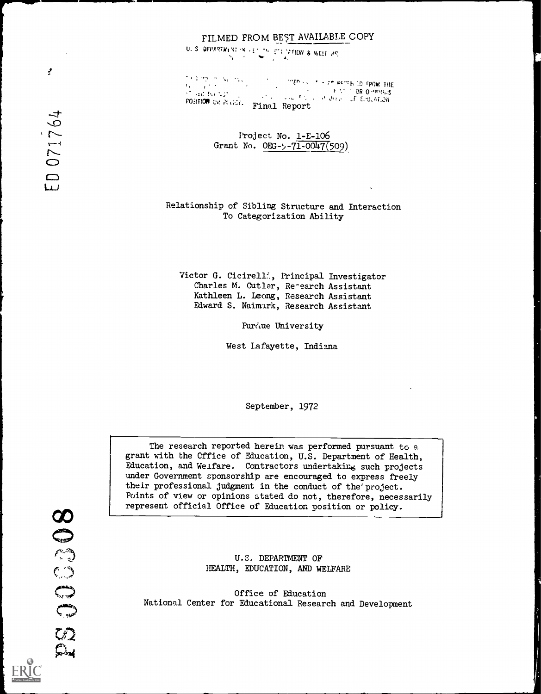# FILMED FROM BEST AVAILABLE COPY

U. S. DEPARTINENT IN A FIT OF FUNCTION & WELF RE

 $\sum_{i=1}^{n}$  (  $\sum_{i=1}^{n}$  )  $\sum_{i=1}^{n}$  (  $\sum_{i=1}^{n}$  ,  $\sum_{i=1}^{n}$  )  $\sum_{i=1}^{n}$  (  $\sum_{i=1}^{n}$  rpow. The  $\sum_{i=1}^{n}$  rpow. The da (Carlos III).<br>Store Bangton OR O TREATH OF STREET ON O TRIGGS. roshion each and Report

> Project No. 1-E-106 Grant No.  $ORG - y - 71 - 0047(509)$

Relationship of Sibling Structure and Interaction To Categorization Ability

Victor G. Cicirellf., Principal Investigator Charles M. Cutler, Research Assistant Kathleen L. Leong, Research Assistant Edward S. Naimark, Research Assistant

Purdue University

West Lafayette, Indiana

September, 1972

The research reported herein was performed pursuant to a grant with the Office of Education, U.S. Department of Health, Education, and Welfare. Contractors undertakine such projects under Government sponsorship are encouraged to express freely their professional judgment in the conduct of the project. Points of view or opinions stated do not, therefore, necessarily represent official Office of Education position or policy.

pocede 

U.C. DEPARTMENT OF HEALTH, EDUCATION, AND WELFARE

Office of Education National Center for Educational Research and Development

 $\mathcal{F}$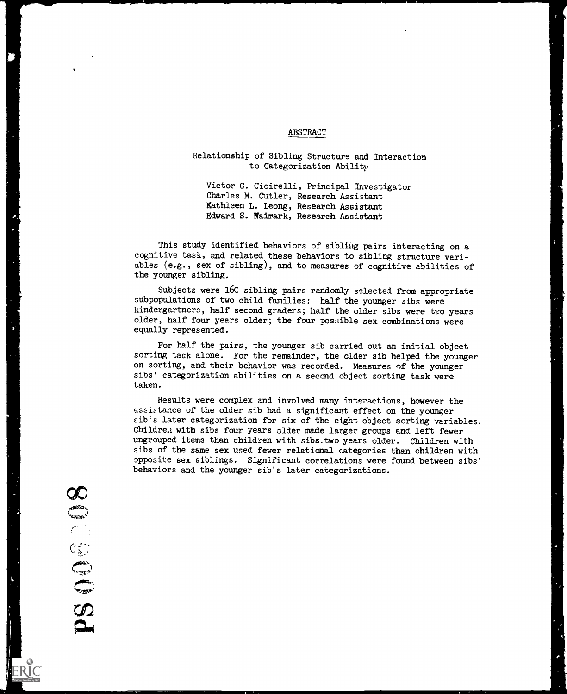### ABSTRACT

# Relationship of Sibling Structure and Interaction to Categorization Ability

Victor G. Cicirelli, Principal Investigator Charles M. Cutler, Research Assistant Kathleen L. Leong, Research Assistant Edward S. Naimark, Research Assistant

This study identified behaviors of sibling pairs interacting on a cognitive task, and related these behaviors to sibling structure variables (e.g., sex of sibling), and to measures of cognitive abilities of the younger sibling.

Subjects were 16C sibling pairs randomly selected from appropriate subpopulations of two child families: half the younger sibs were kindergartners, half second graders; half the older sibs were two years older, half four years older; the four pos:;ible sex combinations were equally represented.

For half the pairs, the younger sib carried out an initial object sorting task alone. For the remainder, the older sib helped the younger on sorting, and their behavior was recorded. Measures of the younger sibs' categorization abilities on a second object sorting task were taken.

Results were complex and involved many interactions, however the assistance of the older sib had a significant effect on the younger sib's later categorization for six of the eight object sorting variables. Childre.1 with sibs four years older made larger groups and left fewer ungrouped items than children with sibs.two years older. Children with sibs of the same sex used fewer relational categories than children with opposite sex siblings. Significant correlations were found between sibs' behaviors and the younger sib's later categorizations.

Œ All Congress of PS OOS

0.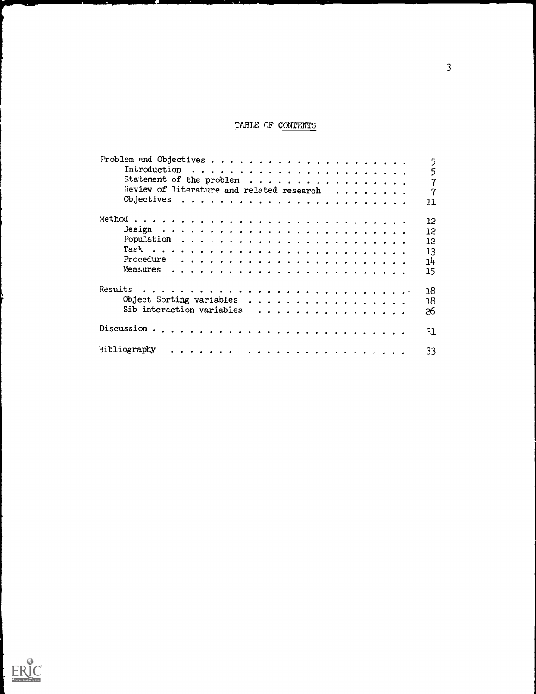# TABLE OF CONTENTS

|                                                                | 5                 |
|----------------------------------------------------------------|-------------------|
|                                                                | 5                 |
|                                                                | 7                 |
| Review of literature and related research                      | 7                 |
|                                                                | 11                |
|                                                                | 12                |
|                                                                | $12 \overline{ }$ |
|                                                                | $12 \,$           |
|                                                                | 13                |
| Procedure $\ldots \ldots \ldots \ldots \ldots \ldots \ldots$   | 14                |
|                                                                | 15                |
|                                                                | 18                |
|                                                                | 18                |
| Sib interaction variables $\ldots \ldots \ldots \ldots \ldots$ | 26                |
|                                                                | 31                |
| Bibliography                                                   | 33                |
|                                                                |                   |

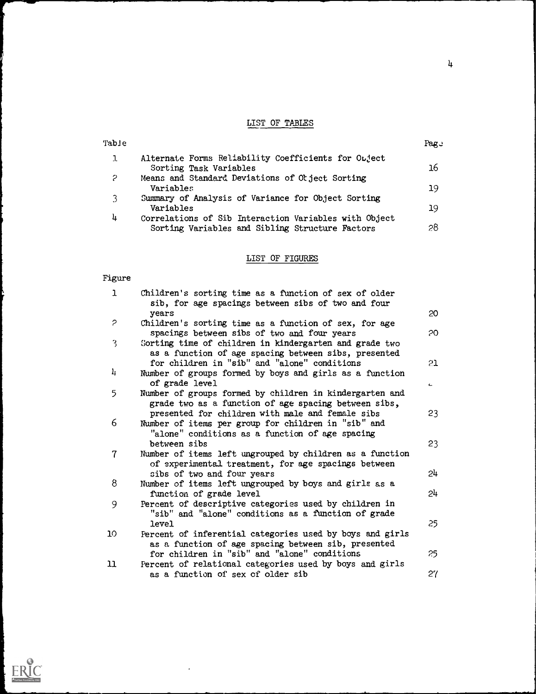# LIST OF TABLES

| Table |                                                       | Page |
|-------|-------------------------------------------------------|------|
|       | Alternate Forms Reliability Coefficients for Object   |      |
|       | Sorting Task Variables                                | 16   |
| 2     | Means and Standard Deviations of Otject Sorting       |      |
|       | Variables                                             | 19   |
| ર     | Summary of Analysis of Variance for Object Sorting    |      |
|       | Variables                                             | 19   |
| 4     | Correlations of Sib Interaction Variables with Object |      |
|       | Sorting Variables and Sibling Structure Factors       | 28   |
|       |                                                       |      |

# LIST OF FIGURES

# Figure

| ı              | Children's sorting time as a function of sex of older<br>sib, for age spacings between sibs of two and four     |    |
|----------------|-----------------------------------------------------------------------------------------------------------------|----|
|                | years                                                                                                           | 20 |
| P              | Children's sorting time as a function of sex, for age<br>spacings between sibs of two and four years            | 20 |
| 3              | Sorting time of children in kindergarten and grade two<br>as a function of age spacing between sibs, presented  |    |
|                | for children in "sib" and "alone" conditions                                                                    | 21 |
| 4              | Number of groups formed by boys and girls as a function<br>of grade level                                       | c. |
| 5              | Number of groups formed by children in kindergarten and<br>grade two as a function of age spacing between sibs, |    |
|                | presented for children with male and female sibs                                                                | 23 |
| 6              | Number of items per group for children in "sib" and<br>"alone" conditions as a function of age spacing          |    |
|                | between sibs                                                                                                    | 23 |
| $\overline{7}$ | Number of items left ungrouped by children as a function<br>of experimental treatment, for age spacings between |    |
|                | sibs of two and four years                                                                                      | 24 |
| 8              | Number of items left ungrouped by boys and girls as a                                                           |    |
|                | function of grade level                                                                                         | 24 |
| 9              | Percent of descriptive categories used by children in<br>"sib" and "alone" conditions as a function of grade    |    |
|                | level                                                                                                           | 25 |
| 10.            | Percent of inferential categories used by boys and girls                                                        |    |
|                | as a function of age spacing between sib, presented<br>for children in "sib" and "alone" conditions             | 25 |
| 11             | Percent of relational categories used by boys and girls                                                         |    |
|                | as a function of sex of older sib                                                                               | 27 |

 $\ddot{\phantom{a}}$ 

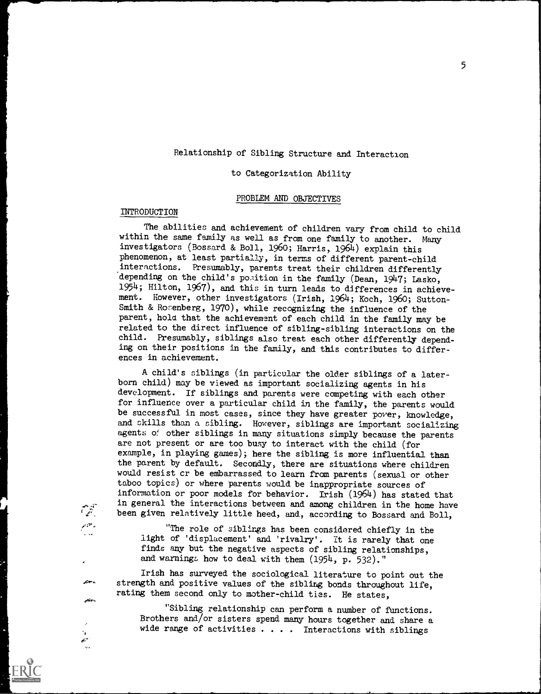# Relationship of Sibling Structure and Interaction

### to Categorization Ability

### PROBLEM AND OBJECTIVES

### INTRODUCTION

 $\mathcal{L}$  .  $i$ 

 $\mathcal{L}^{\mathrm{QCD}}$  .

بربهم

بالأنجر

The abilities and achievement of children vary from child to child within the same family as well as from one family to another. Many investigators (Bossard & Boil, 1960; Harris, 1964) explain this phenomenon, at least partially, in terms of different parent-child interactions. Presumably, parents treat their children differently depending on the child's position in the family (Dean, 1947; Lasko, 1954; Hilton, 1967), and this in turn leads to differences in achievement. However, other investigators (Irish, 1964; Koch, 1960; Sutton-Smith & Rosenberg, 1970), while recognizing the influence of the parent, hold that the achievement of each child in the family may be related to the direct influence of sibling-sibling interactions on the child. Presumably, siblings also treat each other differently depending on their positions in the family, and this contributes to differences in achievement.

A child's siblings (in particular the older siblings of a laterborn child) may be viewed as important socializing agents in his development. If siblings and parents were competing with each other for influence over a particular child in the family, the parents would be successful in most cases, since they have greater power, knowledge, and skills than a sibling. However, siblings are important socializing agents of other siblings in many situations simply because the parents are not present or are too busy to interact with the child (for example, in playing games); here the sibling is more influential than the parent by default. Secondly, there are situations where children would resist cr be embarrassed to learn from parents (sexual or other taboo topics) or where parents would be inappropriate sources of information or poor models for behavior. Irish (1964) has stated that in general the interactions between and among children in the home have been given relatively little heed, and, according to Bossard and Boll,

"The role of siblings has been considered chiefly in the light of 'displacement' and 'rivalry'. It is rarely that one finds any but the negative aspects of sibling relationships, and warnings how to deal with them (1954, p. 532)."

Irish has surveyed the sociological literature to point out the strength and positive values of the sibling bonds throughout life, rating them second only to mother-child ties. He states,

"Sibling relationship can perform a number of functions. Brothers and/or sisters spend many hours together and share a wide range of activities  $\ldots$  . Interactions with siblings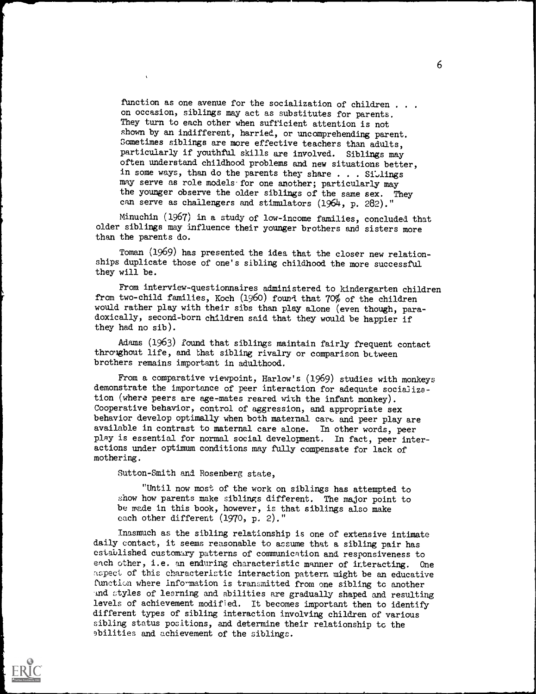function as one avenue for the socialization of children . . . on occasion, siblings may act as substitutes for parents. They turn to each other when sufficient attention is not shown by an indifferent, harried, or uncomprehending parent. Sometimes siblings are more effective teachers than adults, particularly if youthftl skills are involved. Siblings may often understand childhood problems and new situations better, in some ways, than do the parents they share  $\ldots$  . Siblings may serve as role models'for one another; particularly may the younger observe the older siblings of the same sex. They can serve as challengers and stimulators (1964, p. 282)."

Minuchin (1967) in a study of low- income families, concluded that older siblings may influence their younger brothers and sisters more than the parents do.

Toman (1969) has presented the idea that the closer new relationships duplicate those of one's sibling childhood the more successful they will be.

From interview-questionnaires administered to kindergarten children from two-child families, Koch (1960) found that 70% of the children would rather play with their sibs than play alone (even though, paradoxically, second-born children said that they would be happier if they had no sib).

Adams (1963) found that siblings maintain fairly frequent contact throghout life, and that sibling rivalry or comparison between brothers remains important in adulthood.

From a comparative viewpoint, Harlow's (1969) studies with monkeys demonstrate the importance of peer interaction for adequate socialization (where peers are age-mates reared with the infant monkey). Cooperative behavior, control of aggression, and appropriate sex behavior develop optimally when both maternal care and peer play are available in contrast to maternal care alone. In other words, peer play is essential for normal social development. In fact, peer interactions under optimum conditions may fully compensate for lack of mothering.

Sutton-Smith and Rosenberg state,

"Until now most of the work on siblings has attempted to show how parents make siblings different. The major point to be made in this book, however, is that siblings also make each other different (1970, p. 2)."

Inasmuch as the sibling relationship is one of extensive intimate daily contact, it seems reasonable to assume that a sibling pair has established customary patterns of communication and responsiveness to each other, i.e. an enduring characteristic manner of interacting. One aspect of this characteristic interaction pattern might be an educative function where information is transmitted from one sibling to another and styles of learning and abilities are gradually shaped and resulting levels of achievement modified. It becomes important then to identify different types of sibling interaction involving children of various sibling status positions, and determine their relationship tc the abilities and achievement of the siblings.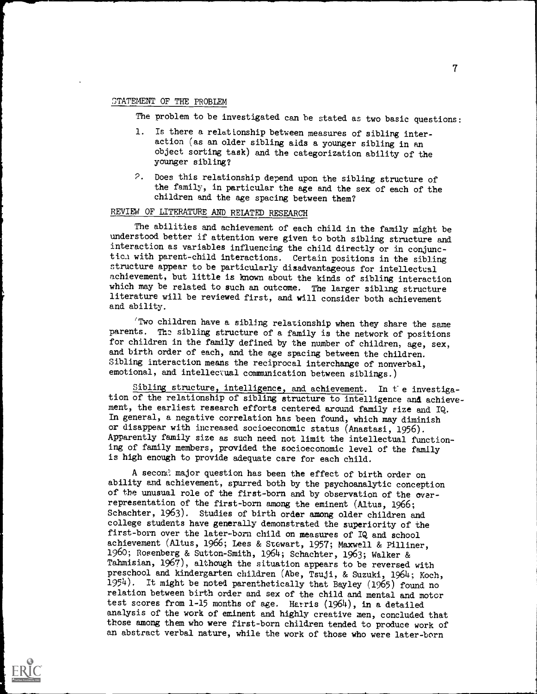### STATEMENT OF THE PROBLEM

The problem to be investigated can be stated as two basic questions:

- 1. Is there a relationship between measures of sibling interaction (as an older sibling aids a younger sibling in an object sorting task) and the categorization ability of the younger sibling?
- 2. Does this relationship depend upon the sibling structure of the family, in particular the age and the sex of each of the children and the age spacing between them?

# REVIEW OF LITERATURE AND RELATED RESEARCH

The abilities and achievement of each child in the family might be understood better if attention were given to both sibling structure and interaction as variables influencing the child directly or in conjunctich with parent-child interactions. Certain positions in the sibling structure appear to be particularly disadvantageous for intellectual achievement, but little is known about the kinds of sibling interaction which may be related to such an outcome. The larger sibling structure literature will be reviewed first, and will consider both achievement and ability.

Two children have a sibling relationship when they share the same parents. The sibling structure of a family is the network of positions for children in the family defined by the number of children, age, sex, and birth order of each, and the age spacing between the children. Sibling interaction means the reciprocal interchange of nonverbal, emotional, and intellectual communication between siblings.)

Sibling structure, intelligence, and achievement. In t'e investigation of the relationship of sibling structure to intelligence and achievement, the earliest research efforts centered around family size and IQ. In general, a negative correlation has been found, which may diminish or disappear with increased socioeconomic status (Anastasi, 1956). Apparently family size as such need not limit the intellectual functioning of family members, provided the socioeconomic level of the family is high enough to provide adequate care for each child.

A second major question has been the effect of birth order on ability and achievement, spurred both by the psychoanalytic conception of the unusual role of the first-born and by observation of the over representation of the first-born among the eminent (Altus, 1966; Schachter, 1963). Studies of birth order among older children and college students have generally demonstrated the superiority of the first-born over the later-born child on measures of IQ and school achievement (Altus, 1966; Lees & Stewart, 1957; Maxwell & Pilliner, 1960; Rosenberg & Sutton-Smith, 1964; Schachter, 1963; Walker & Tahmisian, 1967), although the situation appears to be reversed with preschool and kindergarten children (Abe, Tsuji, & Suzuki, 1964; Koch, 1954). It might be noted parenthetically that Bayley (1965) found no relation between birth order and sex of the child and mental and motor test scores from 1-15 months of age. Harris (1964), in a detailed analysis of the work of eminent and highly creative men, concluded that those among them who were first-born children tended to produce work of an abstract verbal nature, while the work of those who were later-born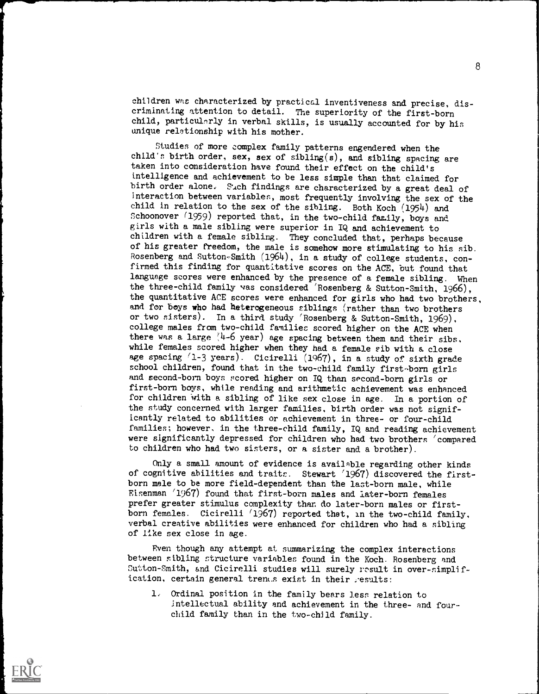children was characterized by practical inventiveness and precise, discriminating attention to detail. The superiority of the first-born child, particularly in verbal skills, is usually accounted for by his unique relationship with his mother.

Studies of more complex family patterns engendered when the child's birth order, sex, sex of sibling(s), and sibling spacing are taken into consideration have found their effect on the child's intelligence and achievement to be less simple than that claimed for birth order alone. Such findings are characterized by a great deal of interaction between variables, most frequently involving the sex of the child in relation to the sex of the sibling. Both Koch (1954) and Schoonover (1959) reported that, in the two-child family, boys and girls with a male sibling were superior in IQ and achievement to children with a female sibling. They concluded that, perhaps because of his greater freedom, the male is somehow more stimulating to his sib. Rosenberg and Sutton-Smith (1964), in a study of college students, confirmed this finding for quantitative scores on the ACE, but found that language scores were enhanced by the presence of a female sibling. When the three-child family was considered 'Rosenberg & Sutton-Smith, 1966), the quantitative ACE scores were enhanced for girls who had two brothers, and for boys who had heterogeneous siblings (rather than two brothers or two sisters). In a third study 'Rosenberg & Sutton-Smith, 1969), college males from two -child families scored higher on the ACE when there was a large  $(4-6 \text{ year})$  age spacing between them and their sibs. while females scored higher when they had a female sib with a close age spacing  $(1-3 \text{ years})$ . Cicirelli  $(1967)$ , in a study of sixth grade school children, found that in the two-child family first-born girls and second-born boys scored higher on IQ than second-born girls or first-born boys, while reading and arithmetic achievement was enhanced for children with a sibling of like sex close in age. In a portion of the study concerned with larger families, birth order was not significantly related to abilities or achievement in three- or four-child families; however, in the three-child family, IQ and reading achievement were significantly depressed for children who had two brothers 'compared to children who had two sisters, or a sister and a brother).

Only a small amount of evidence is available regarding other kinds of cognitive abilities and traits. Stewart '1967) discovered the firstborn male to be more field-dependent than the last-born male, while Eisenman '1967) found that first-born males and later -born females prefer greater stimulus complexity than do later-born males or firstborn females. Cicirelli (1967) reported that, in the two-child family, verbal creative abilities were enhanced for children who had a sibling of like sex close in age.

Even though any attempt at summarizing the complex interactions between sibling structure variables found in the Koch. Rosenberg and Sutton-Smith, and Cicirelli studies will surely result in over-simplification, certain general trents exist in their results:

1, Ordinal position in the family bears less relation to Intellectual ability and achievement in the three- and fourchild family than in the two-child family.



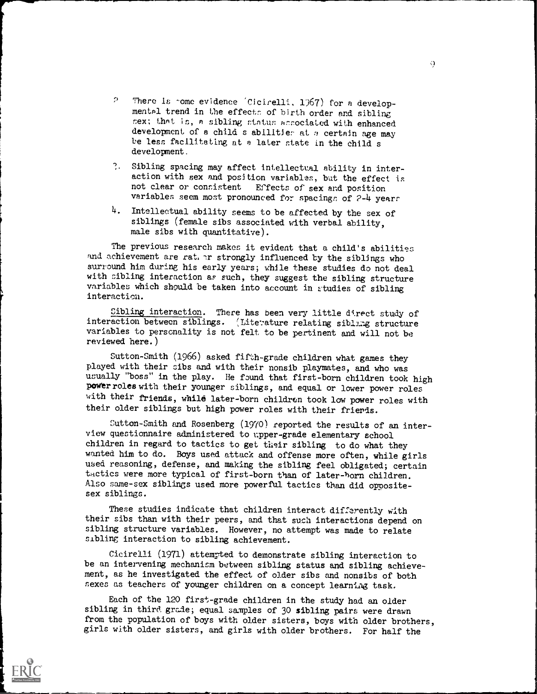- $\Omega$ There is nome evidence 'Cicirelli, 1967) for a developmental trend in the effects of birth order and sibling cex; that is, a sibling status acsociated with enhanced development of a child s abilitier at  $\sigma$  certain age may be less facilitating at e later state in the child <sup>s</sup> development.
- $\overline{?}$ . Sibling spacing may affect intellectual ability in interaction with sex and position variables, but the effect is not clear or consistent Effects of sex and position Effects of sex and position variables seem most pronounced for spacings of 2-4 year:
- 4. Intellectual ability seems to be affected by the sex of siblings (female sibs associated with verbal ability, male sibs with quantitative).

The previous research makes it evident that a child's abilities and achievement are rat. Ir strongly influenced by the siblings who surround him during his early years; while these studies do not deal with cibling interaction as such, they suggest the sibling structure variables which should be taken into account in studies of sibling interaction.

Sibling interaction. There has been very little direct study of interaction between siblings. (Literature relating siblarg structure variables to personality is not felt to be pertinent and will not be reviewed here.)

Sutton-Smith (1966) asked fifth-grade children what games they played with their sibs and with their nonsib playmates, and who was usually "boss" in the play. He found that first-born children took high power roles with their younger siblings, and equal or lower power roles with their friends, while later-born children took low power roles with their older siblings but high power roles with their friends.

Sutton-Smith and Rosenberg (1970) reported the results of an interview questionnaire administered to ripper -grade elementary school children in regard to tactics to get their sibling to do what they wanted him to do. Boys used attack and offense more often, while girls used reasoning, defense, and making the sibling feel obligated; certain tactics were more typical of first-born than of later-born children. Also same-sex siblings used more powerful tactics than did oppositesex siblings.

These studies indicate that children interact differently with their sibs than with their peers, and that such interactions depend on sibling structure variables. However, no attempt was made to relate sibling interaction to sibling achievement.

Cicirelli (1971) attempted to demonstrate sibling interaction to be an intervening mechanism between sibling status and sibling achievement, as he investigated the effect of older sibs and nonsibs of both sexes as teachers of younger children on a concept learning task.

Each of the 120 first-grade children in the study had an older sibling in third. grade; equal samples of 30 sibling pairs were drawn from the population of boys with older sisters, boys with older brothers, girls with older sisters, and girls with older brothers. For half the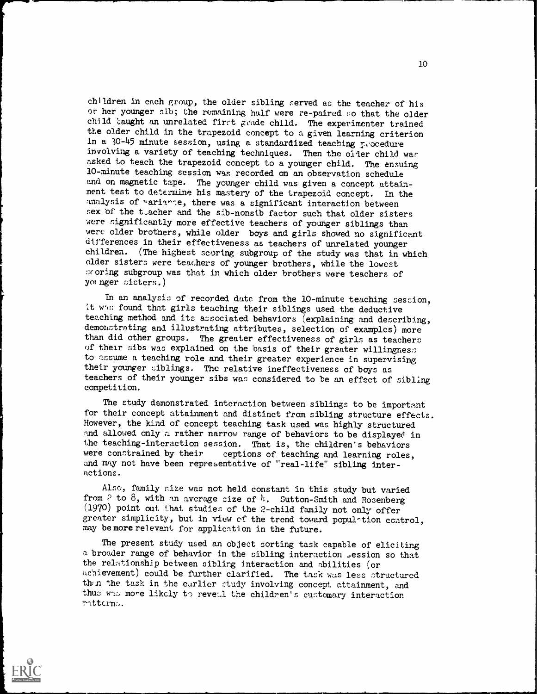children in each group, the older sibling nerved as the teacher of his or her younger sib; the remaining half were re-paired so that the older child taught nn unrelated firrt grade child. The experimenter trained the older child in the trapezoid concept to a given learning criterion in a  $30-45$  minute session, using a standardized teaching procedure involving a variety of teaching techniques. Then the oider child war asked to teach the trapezoid concept to a younger child. The ensuing 10-minute teaching session was recorded on an observation schedule and on magnetic tape. The younger child was given a concept attainment test to determine his mastery of the trapezoid concept. In the analysis of variance, there was a significant interaction between sex of the teacher and the sib-nonsib factor such that older sisters were significantly more effective teachers of younger siblings than were older brothers, while older boys and girls showed no significant differences in their effectiveness as teachers of unrelated younger children. (The highest scoring subgroup of the study was that in which older sisters were teachers of younger brothers, while the lowest scoring subgroup was that in which older brothers were teachers of younger sisters.)

In an analysis of recorded date from the 10-minute teaching session, it who found that girls teaching their siblings used the deductive teaching method and its associated behaviors (explaining and describing, demonstrnting and illustrating attributes, selection of examples) more than did other groups. The greater effectiveness of girls as teachers of their sibs was explained on the basis of their greater willingness to assume a teaching role and their greater experience in supervising their younger siblings. The relative ineffectiveness of boys as teachers of their younger sibs was considered to be an effect of sibling competition.

The study demonstrated interaction between siblings to be important for their concept attainment and distinct from sibling structure effects. However, the kind of concept teaching task used was highly structured and allowed only a rather narrow range of behaviors to be displayed in the teaching-interaction session. That is, the children's behaviors were constrained by their ceptions of teaching and learning roles, and may not have been representative of "real-life" sibling interactions.

Also, family size was not held constant in this study but varied from  $P$  to  $8$ , with an average size of  $4$ . Sutton-Smith and Rosenberg (1970) point out that studies of the 2-child family not only offer greater simplicity, but in view cf the trend toward popul^tion control, may be more relevant for application in the future.

The present study used an object sorting task capable of eliciting a broader range of behavior in the sibling interaction ,ession so that the relationship between sibling interaction and abilities (or achievement) could be further clarified. The task was less structured then the task in the earlier study involving concept attainment, and thus was more likely to reveal the children's customary interaction ratterns.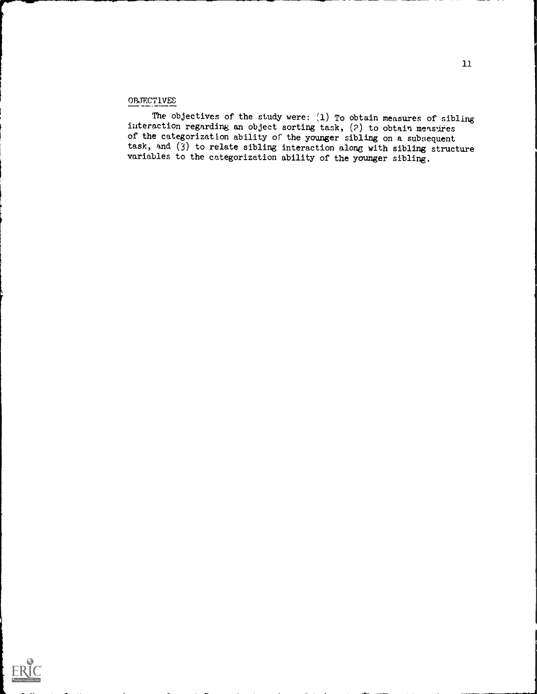# **OBJECTIVES**

The objectives of the study were:  $(1)$  To obtain measures of sibling interaction regarding an object sorting task, (?) to obtain measures of the categorization ability of the younger sibling on a subsequent task, and (3) to relate sibling interaction along with sibling structure variables to the categorization ability of the younger sibling.

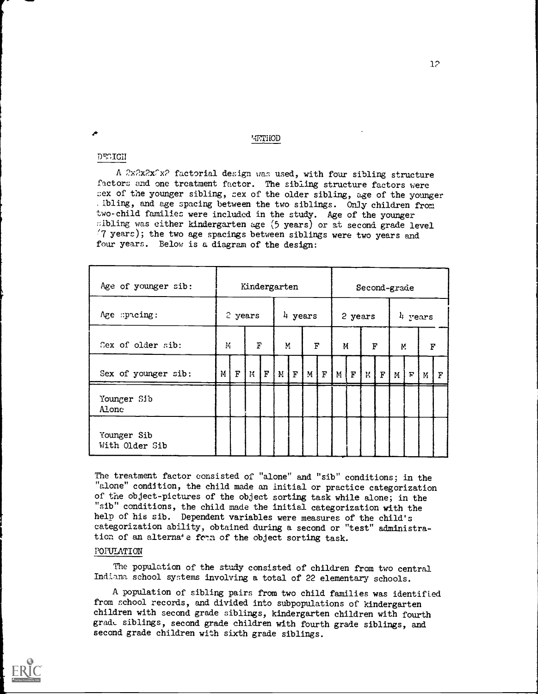### METHOD

### DT.rIOU

A  $2x^2x^2x^2$  factorial design was used, with four sibling structure factors and one treatment factor. The sibling structure factors were sex of the younger sibling, sex of the older sibling, age of the younger . ibling, and age spacing between the two siblings. Only children from two-child families were included in the study. Age of the younger sibling was either kindergarten age (5 years) or at second grade level '7 years); the two age spacings between siblings were two years and four years. Below is a diagram of the design:

| Age of younger sib:           |          |                  |                 |   | Kindergarten                            |  |                     | Second-grade |                 |   |         |                       |        |     |                     |             |  |  |  |
|-------------------------------|----------|------------------|-----------------|---|-----------------------------------------|--|---------------------|--------------|-----------------|---|---------|-----------------------|--------|-----|---------------------|-------------|--|--|--|
| Age spreing:                  |          | 2 years          |                 |   |                                         |  | $\frac{1}{4}$ years |              |                 |   | 2 years |                       |        |     | $\frac{1}{4}$ years |             |  |  |  |
| Sex of older sib:             | M        |                  | $\mathbf F$     |   | Μ.                                      |  | $\mathbf F$         |              |                 | M |         | F                     |        | Μ.  |                     | F           |  |  |  |
| Sex of younger sib:           | $M \mid$ | $\boldsymbol{F}$ | $\mathcal{V}_1$ | F | $\lfloor M \rfloor$ $\lfloor F \rfloor$ |  |                     |              | $M$ $F$ $M$ $F$ |   |         | $K$ $\mid$ $F$ $\mid$ | $M \}$ | । म | M                   | $\mathbf F$ |  |  |  |
| Younger Sib<br>Alone          |          |                  |                 |   |                                         |  |                     |              |                 |   |         |                       |        |     |                     |             |  |  |  |
| Younger Sib<br>With Older Sib |          |                  |                 |   |                                         |  |                     |              |                 |   |         |                       |        |     |                     |             |  |  |  |

The treatment factor consisted of "alone" and "sib" conditions; in the "alone" condition, the child made an initial or practice categorization of the object- pictures of the object sorting task while alone; in the "sib" conditions, the child made the initial categorization with the help of his sib. Dependent variables were measures of the child's categorization ability, obtained during a second or "test" administration of an alterna+e form of the object sorting task.

### POPULATION

The population of the study consisted of children from two central Indiana school systems involving a total of 22 elementary schools.

A population of sibling pairs from two child families was identified from school records, and divided into subpopulations of kindergarten children with second grade siblings, kindergarten children with fourth grade siblings, second grade children with fourth grade siblings, and second grade children with sixth grade siblings.

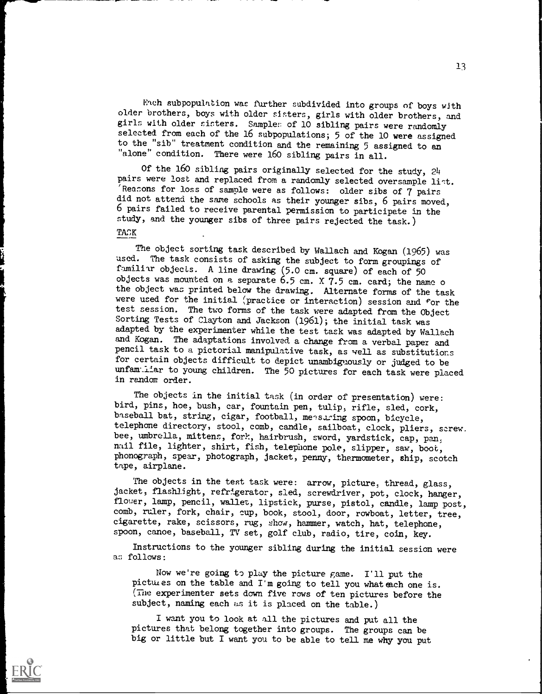Each subpopulation was further subdivided into groups of boys with older brothers, boys with older sinters, girls with older brothers, and girls with older sisters. Sample: of 10 sibling pairs were randomly selected from each of the 16 subpopulations; 5 of the 10 were assigned to the "sib" treatment condition and the remaining 5 assigned to an "alone" condition. There were 160 sibling pairs in all.

Of the 160 sibling pairs originally selected for the study, 24 pairs were lost and replaced from a randomly selected oversample list. 'Reasons for loss of sample were as follows: older sibs of 7 pairs did not attend the same schools as their younger sibs, 6 pairs moved, 6 pairs failed to receive parental permission to participate in the study, and the younger sibs of three pairs rejected the task.) TACK

The object sorting task described by Wallach and Kogan (1965) was used. The task consists of asking the subject to form groupings of familiar objects. A line drawing (5.0 cm. square) of each of 50 objects was mounted on a separate 6.5 cm. X 7.5 cm. card; the name o the object was printed below the drawing. Alternate forms of the task were used for the initial (practice or interaction) session and for the test session. The two forms of the task were adapted from the Object Sorting Tests of Clayton and Jackson (1961); the initial task was adapted by the experimenter while the test task was adapted by Wallach and Kogan. The adaptations involved a change from a verbal paper and pencil task to a pictorial manipulative task, as well as substitutions for certain objects difficult to depict unambiguously or judged to be unfam:Liar to young children. The 50 pictures for each task were placed in random order.

The objects in the initial task (in order of presentation) were: bird, pins, hoe, bush, car, fountain pen, tulip, rifle, sled, cork, baseball bat, string, cigar, football, measuring spoon, bicycle, telephone directory, stool, comb, candle, sailboat, clock, pliers, screw. bee, umbrella, mittens, fork, hairbrush, sword, yardstick, cap, pan, nail file, lighter, shirt, fish, telephone pole, slipper, saw, boot, phonograph, spear, photograph, jacket, penny, thermometer, ship, scotch tape, airplane.

The objects in the test task were: arrow, picture, thread, glass, jacket, flashlight, refrigerator, sled, screwdriver, pot, clock, hanger, flower, lamp, pencil, wallet, lipstick, purse, pistol, candle, lamp post, comb, ruler, fork, chair, cup, book, stool, door, rowboat, letter, tree, cigarette, rake, scissors, rug, show, hammer, watch, hat, telephone, spoon, canoe, baseball, TV set, golf club, radio, tire, coin, key.

Instructions to the younger sibling during the initial session were as follows:

Now we're going to play the picture game. I'll put the pictures on the table and I'm going to tell you what each one is. (The experimenter sets down five rows of ten pictures before the subject, naming each as it is placed on the table.)

I want you to look at all the pictures and put all the pictures that belong together into groups. The groups can be big or little but I want you to be able to tell me why you put 1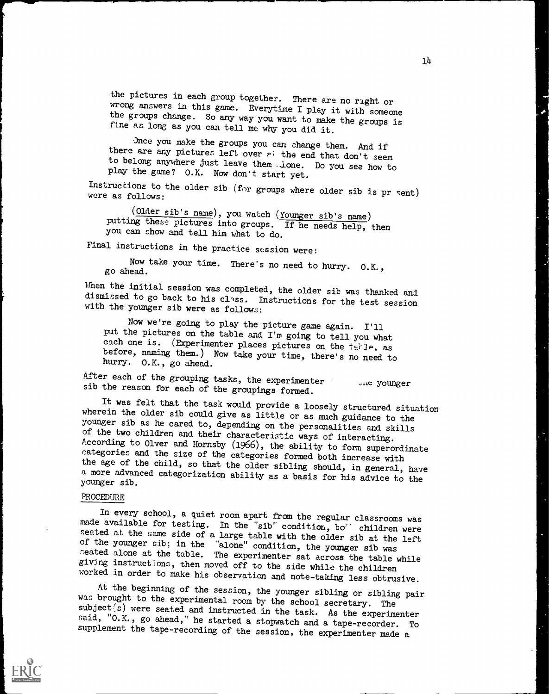the pictures in each group together. There are no right or<br>wrong answers in this game. Everytime I play it with someone<br>the groups change. So any way you want to make the groups is<br>fine as long as you can tell me why you d

there are any pictures left over  $e$ : the end that don't seem to belong anywhere just leave them . Lone. Do you see how to play the game? O.K. Now don't start yet.

Instructions to the older sib (for groups where older sib is pr sent) were as follows:

(Older sib's name), you watch (Younger sib's name) putting these pictures into groups. If he needs help, then you can show and tell him what to do.

Final instructions in the practice session were:

Now take your time. There's no need to hurry. O.K., go ahead.

When the initial session was completed, the older sib was thanked and dismissed to go back to his class. Instructions for the test session with the younger sib were as follows:

Now we're going to play the picture game again. I'll put the pictures on the table and I'm going to tell you what each one is. (Experimenter places pictures on the terle, as before, naming them.) Now take your time, there

After each of the grouping tasks, the experimenter younger sib the reason for each of the groupings formed.<br>It was felt that the task would provide a loosely structured situation

wherein the older sib could give as little or as much guidance to the younger sib as he cared to, depending on the personalities and skills of the two children and their characteristic ways of interacting. According to Olver and Hornsby (1966), the ability to form superordinate categories and the size of the categories formed both increase with the age of the child, so that the older sibling should, in general, have a more advanced categorization ability as a basis for his advice to the younger sib.

# PROCEDURE

In every school, a quiet room apart from the regular classrooms was<br>made available for testing. In the "sib" condition, bo" children were<br>seated at the same side of a large table with the older sib at the left<br>of the young seated alone at the table. The experimenter sat across the table while giving instructions, then moved off to the side while the children worked in order to make his observation and note-taking less obtrusive.

At the beginning of the session, the younger sibling or sibling pair was brought to the experimental room by the school secretary. The subject<sup>( $\overline{s}$ ) were seated and instructed in the task. As the experimenter said, "O.K., go ahead," he started a stopwatch and a tape-recorder. To</sup> supplement the tape-recording of the session, the experimenter made a

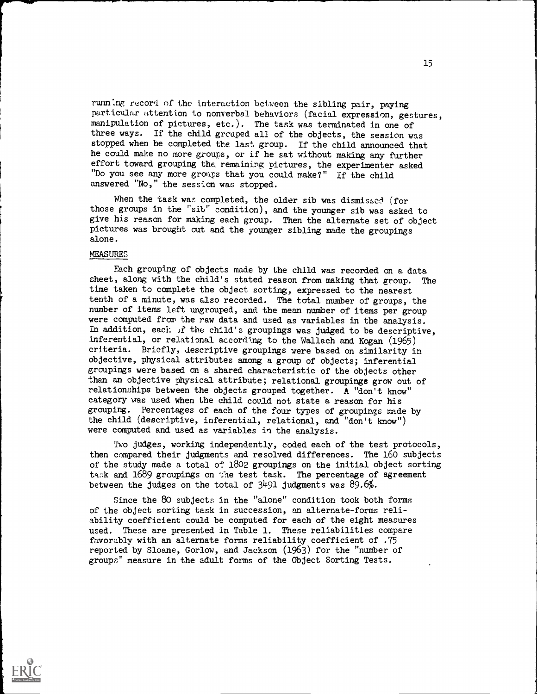running record of the interaction between the sibling pair, paying particular attention to nonverbal behaviors (facial expression, gestures, manipulation of pictures, etc.). The task was terminated in one of three ways. If the child grcaped all of the objects, the session was stopped when he completed the last group. If the child announced that he could make no more groups, or if he sat without making any further effort toward grouping the. remaining pictures, the experimenter asked "Do you see any more groups that you could make?" If the child answered "No," the session was stopped.

When the task was completed, the older sib was dismissed (for those groups in the "sib" condition), and the younger sib was asked to give his reason for making each group. Then the alternate set of object pictures was brought out and the younger sibling made the groupings alone.

# MEASURES

Each grouping of objects made by the child was recorded on a data sheet, along with the child's stated reason from making that group. The time taken to complete the object sorting, expressed to the nearest tenth of a minute, was also recorded. The total number of groups, the number of items left ungrouped, and the mean number of items per group were computed from the raw data and used as variables in the analysis. In addition, each if the child's groupings was judged to be descriptive, inferential, or relational according to the Wallach and Kogan (1965) criteria. Briefly, descriptive groupings were based on similarity in objective, physical attributes among a group of objects; inferential groupings were based an a shared characteristic of the objects other than an objective physical attribute; relational groupings grow out of relationships between the objects grouped together. A "don't know" category was used when the child could not state a reason for his grouping. Percentages of each of the four types of groupings made by the child (descriptive, inferential, relational, and "don't know") were computed and used as variables in the analysis.

Two judges, working independently, coded each of the test protocols, then compared their judgments and resolved differences. The 160 subjects of the study made a total of 1802 groupings on the initial object sorting task and 1689 groupings on the test task. The percentage of agreement between the judges on the total of 3491 judgments was 89.6%.

Since the 80 subjects in the "alone" condition took both forms of the object sorting task in succession, an alternate-forms reliability coefficient could be computed for each of the eight measures used. These are presented in Table 1. These reliabilities compare favorably with an alternate forms reliability coefficient of .75 reported by Sloane, Gorlow, and Jackson (1963) for the "number of groups" measure in the adult forms of the Object Sorting Tests.

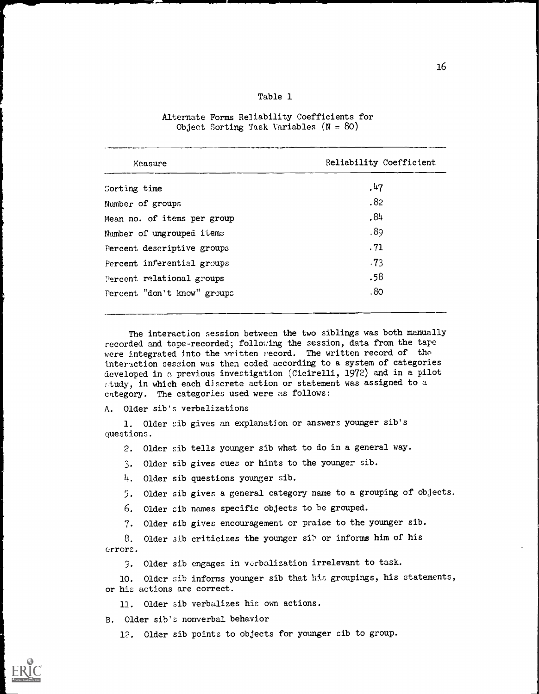# Table 1

| Measure                     | Reliability Coefficient |
|-----------------------------|-------------------------|
| Corting time                | .47                     |
| Number of groups            | .82                     |
| Mean no. of items per group | .84                     |
| Number of ungrouped items   | .89                     |
| Percent descriptive groups  | .71                     |
| Percent inferential groups  | .73                     |
| Percent relational groups   | .58                     |
| Percent "don't know" groups | .80                     |

# Alternate Forms Reliability Coefficients for Object Sorting Task Variables  $(N = 80)$

The interaction session between the two siblings was both manually recorded and tape-recorded; following the session, data from the tape were integrated into the written record. The written record of the interaction session was then coded according to a system of categories developed in a previous investigation (Cicirelli, 1972) and in a pilot Atudy, in which each discrete action or statement was assigned to a category. The categories used were as follows:

A. Older sib's verbalizations

1. Older sib gives an explanation or answers younger sib's questions.

2. Older sib tells younger sib what to do in a general way.

3. Older sib gives cues or hints to the younger sib.

4. Older sib questions younger sib.

5. Older sib gives a general category name to a grouping of objects.

6. Older cib names specific objects to be grouped.

7. Older sib gives encouragement or praise to the younger sib.

8. Older sib criticizes the younger sib or informs him of his errors.

9. Older sib engages in verbalization irrelevant to task.

10. Older sib informs younger sib that his groupings, his statements,

or his actions are correct.

11. Older sib verbalizes his own actions.

B. Older sib's nonverbal behavior

12. Older sib points to objects for younger cib to group.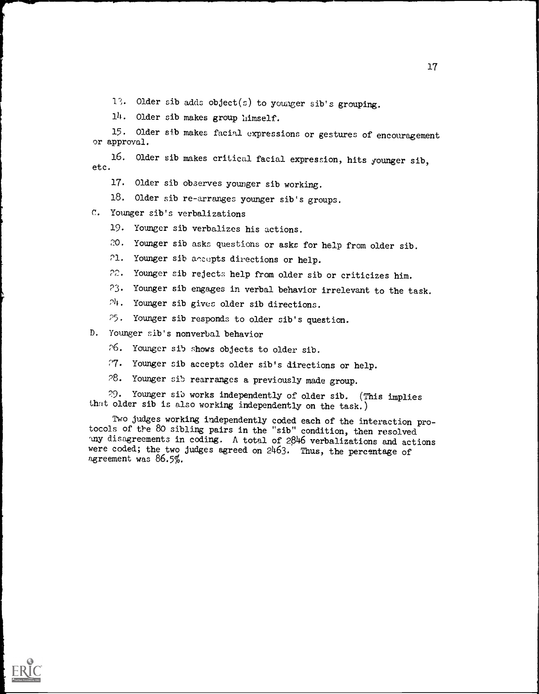17. Older sib adds object(s) to younger sib's grouping.

14. Older sib makes group himself.

15. Older sib makes facial expressions or gestures of encouragement or approval.

16. Older sib makes critical facial expression, hits younger sib, etc.

- 17. Older sib observes younger sib working.
- 18. Older sib re-arranges younger sib's groups.
- C. Younger sib's verbalizations
	- 19. Younger sib verbalizes his actions.
	- 20. Younger sib asks questions or asks for help from older sib.
	- 21. Younger sib accepts directions or help.
	- 22. Younger sib rejects help from older sib or criticizes him.
	- 23. Younger sib engages in verbal behavior irrelevant to the task.
	- $24.$  Younger sib gives older sib directions.
	- 25. Younger sib responds to older sib's question.
- D. Younger sib's nonverbal behavior
	- 26. Younger sib shows objects to older sib.
	- 7. Younger sib accepts older sib's directions or help.
	- P8. Younger sib rearranges a previously made group.

29. Younger sib works independently of older sib. (This implies that older sib is also working independently on the task.)

Two judges working independently coded each of the interaction protocols of the 80 sibling pairs in the "sib" condition, then resolved lny disagreements in coding. A total of 2846 verbalizations and actions were coded; the two judges agreed on 2463. Thus, the percentage of agreement was 86.5%.



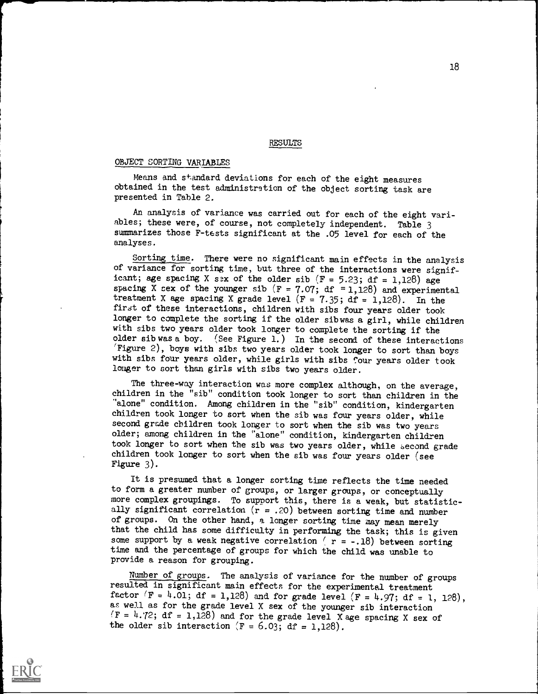**RESULTS** 

### OBJECT SORTING VARIABLES

Means and standard deviations for each of the eight measures obtained in the test administration of the object sorting task are presented in Table 2.

An analysis of variance was carried out for each of the eight variables; these were, of course, not completely independent. Table 3 summarizes those F-tests significant at the .05 level for each of the analyses.

Sorting time. There were no significant main effects in the analysis of variance for sorting time, but three of the interactions were significant; age spacing X sex of the older sib  $(F = 5.23; df = 1.128)$  age spacing X sex of the younger sib ( $F = 7.07$ ; df = 1,128) and experimental treatment X age spacing X grade level  $(F = 7.35; df = 1,128)$ . In the first of these interactions, children with sibs four years older took longer to complete the sorting if the older sib was a girl, while children with sibs two years older took longer to complete the sorting if the older sib was a boy. (See Figure 1.) In the second of these interactions 'Figure 2), boys with sibs two years older took longer to sort than boys with sibs four years older, while girls with sibs four years older took longer to sort than girls with sibs two years older.

The three-way interaction was more complex although, on the average, children in the "sib" condition took longer to sort than children in the "alone" condition. Among children in the "sib" condition, kindergarten children took longer to sort when the sib was four years older, while second grade children took longer to sort when the sib was two years older; among children in the "alone" condition, kindergarten children took longer to sort when the sib was two years older, while second grade children took longer to sort when the sib was four years older (see Figure 3).

It is presumed that a longer sorting time reflects the time needed to form a greater number of groups, or larger groups, or conceptually more complex groupings. To support this, there is a weak, but statistically significant correlation  $(r = .20)$  between sorting time and number of groups. On the other hand, a longer sorting time may mean merely that the child has some difficulty in performing the task; this is given some support by a weak negative correlation ( $r = -.18$ ) between sorting time and the percentage of groups for which the child was unable to provide a reason for grouping.

Number of groups. The analysis of variance for the number of groups resulted in significant main effects for the experimental treatment factor  $(F = 4.01; df = 1,128)$  and for grade level  $(F = 4.97; df = 1, 128)$ , as well as for the grade level X sex of the younger sib interaction  $(F = 4.72; df = 1,128)$  and for the grade level X age spacing X sex of the older sib interaction  $(F = 6.03; df = 1,128)$ .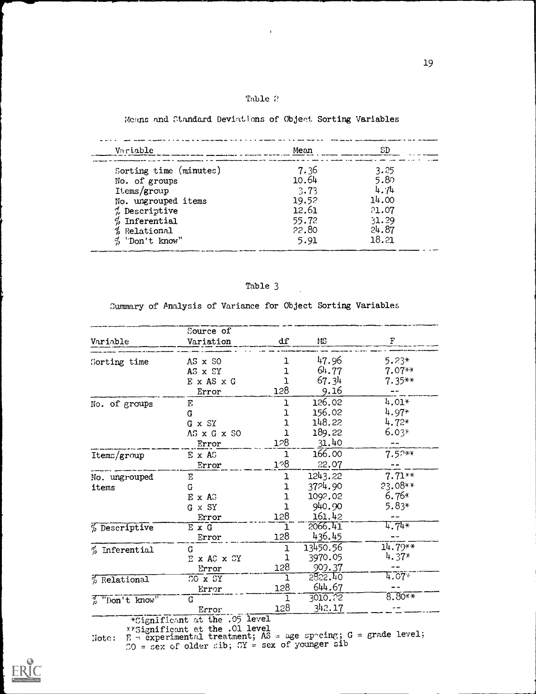# Table 2

 $\ddot{\phantom{a}}$ 

# Means and Standard Deviations of Objeot Sorting Variables

| Variable                   | Mean  | SD    |
|----------------------------|-------|-------|
| Sorting time (minutes)     | 7.36  | 3.25  |
| No. of groups              | 10.64 | 5.80  |
| Items/group                | 3.73  | 4.74  |
| No. ungrouped items        | 19.52 | 14.00 |
| $\%$ Descriptive           | 12.61 | 21.07 |
| $%$ Inferential            | 55.72 | 31.29 |
| % Relational               | 22.80 | 24.87 |
| $\frac{d}{d}$ 'Don't know" | 5.91  | 18.21 |

# Table 3

Summary of Analysis of Variance for Object Sorting Variables

|                                | Source of                                  |                  |          |                  |
|--------------------------------|--------------------------------------------|------------------|----------|------------------|
| Variable                       | Variation                                  | dſ               | MS       | F                |
|                                | AS x SO                                    | ı                | 47.96    | $5.23*$          |
| Sorting time                   | AS x SY                                    | ı                | 64.77    | $7.07**$         |
|                                | E x AS x G                                 | ı                | 67.34    | $7.35**$         |
|                                |                                            | 128              | 9.16     |                  |
|                                | Error                                      |                  |          |                  |
| No. of groups                  | Е,                                         | ı                | 126.02   | $4.01*$          |
|                                | G                                          | ı                | 156.02   | $4.97*$          |
|                                | G x SY                                     | ı                | 148.22   | $4.72*$          |
|                                | AS x G x SO                                | ı                | 189.22   | $6.03*$          |
|                                | Error                                      | 128              | 31.40    |                  |
| Itemc/group                    | E x AS                                     | ı                | 166.00   | $7.57**$         |
|                                | Error                                      | 1 <sup>0</sup> 8 | 22.07    |                  |
| No. ungrouped                  | Е                                          | ı                | 1243.22  | $7.71**$         |
| items                          | G                                          | 1                | 3724.90  | 23.08**          |
|                                | $E \times A$ 3                             | 1                | 1092.02  | $6.76*$          |
|                                | G x SY                                     | ı                | 940.90   | 5.83*            |
|                                | Error                                      | 128              | 161.42   |                  |
| % Descriptive                  | ExG                                        | 1                | 2066.41  | $4.74*$          |
|                                | Error                                      | 128              | 436.45   |                  |
| $%$ Inferential                | G                                          | ı                | 13450.56 | $14.79**$        |
|                                | E x AS x SY                                | ı                | 3970.05  | $4.37*$          |
|                                | Error                                      | 128              | 909.37   |                  |
| $%$ Relational                 | CO X SY                                    | 1                | 5822.40  | $4.07*$          |
|                                | Error                                      | 128              | 644.67   |                  |
| $\frac{1}{\beta}$ "Don't know" | G.                                         | ı                | 3010.22  | $8.80**$         |
|                                | Error                                      | 128              | 342.17   |                  |
|                                | *Significant at the .05 level              |                  |          |                  |
|                                | xy <sub>Significant</sub> et the .01 level |                  |          | والمستمر المراقب |

 $Y'Signification$  at the .01 level<br>Note:  $E =$  experimental treatment; AS = age sp^cing; G = grade level;  $SO = \text{sex of older cib}; \; SY = \text{sex of younger sib}$ 

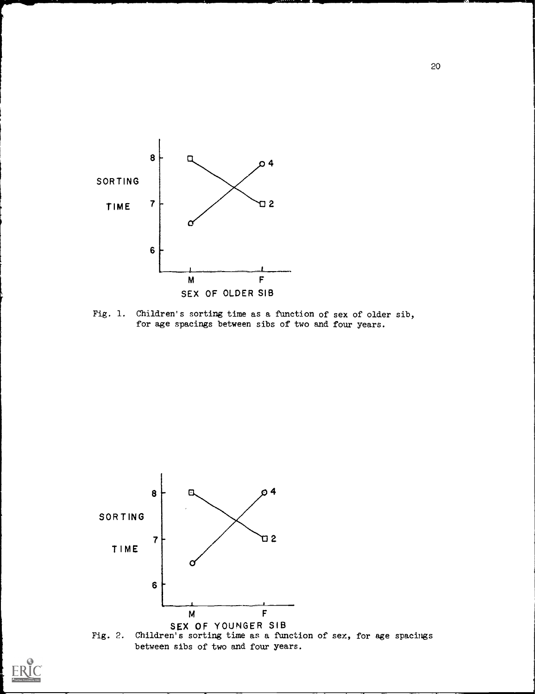

Fig. 1. Children's sorting time as a function of sex of older sib, for age spacings between sibs of two and four years.



between sibs of two and four years.

20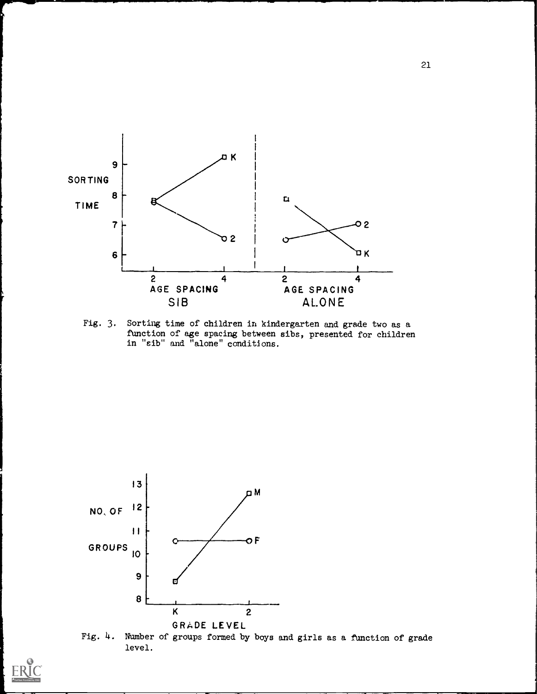

Fig. 3. Sorting time of children in kindergarten and grade two as a function of age spacing between sibs, presented for children in "sib" and "alone" conditions.



Fig. 4. Number of groups formed by boys and girls as a function of grade level.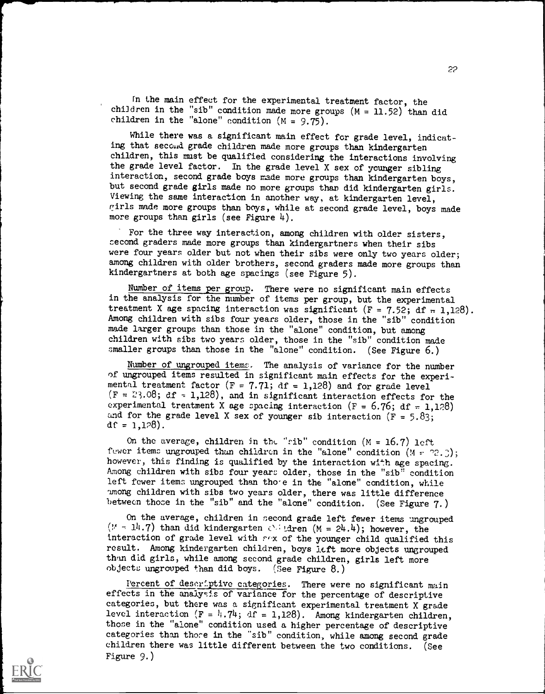In the main effect for the experimental treatment factor, the children in the "sib" condition made more groups  $(M = 11.52)$  than did children in the "alone" condition  $(M = 9.75)$ .

While there was a significant main effect for grade level, indicating that second grade children made more groups than kindergarten children, this must be qualified considering the interactions involving the grade level factor. In the grade level X sex of younger sibling interaction, second grade boys made more groups than kindergarten boys, but second grade girls made no more groups than did kindergarten girls. Viewing the same interaction in another way, at kindergarten level, girls made more groups than boys, while at second grade level, boys made more groups than girls (see Figure  $4$ ).

For the three way interaction, among children with older sisters, second graders made more groups than kindergartners when their sibs were four years older but not when their sibs were only two years older; among children with older brothers, second graders made more groups than kindergartners at both age spacings (see Figure 5).

Number of items per group. There were no significant main effects in the analysis for the number of items per group, but the experimental treatment X age spacing interaction was significant (F = 7.52; df = 1,128). Among children with sibs four years older, those in the "sib" condition made larger groups than those in the "alone" condition, but among children with sibs two years older, those in the "sib" condition made smaller groups than those in the "alone" condition. (See Figure 6.)

Number of ungrouped items. The analysis of variance for the number of ungrouped items resulted in significant main effects for the experimental treatment factor  $(F = 7.71; df = 1,128)$  and for grade level  $(F = 23.08; df = 1,128)$ , and in significant interaction effects for the experimental treatment X age spacing interaction (F = 6.76; df = 1,128) and for the grade level X sex of younger sib interaction  $(F = 5.83)$ ;  $df = 1,128$ .

On the average, children in the "rib" condition  $(M = 16.7)$  left fewer items ungrouped than children in the "alone" condition  $(M - 2.3);$ however, this finding is qualified by the interaction with age spacing. Among children with sibs four years older, those in the "sib" condition left fewer items ungrouped than those in the "alone" condition, while 'among children with sibs two years older, there was little difference between those in the "sib" and the "alone" condition. (See Figure 7.)

On the average, children in second grade left fewer items ungrouped ( $V = 14.7$ ) than did kindergarten  $\bigcirc$  Let  $M = 24.4$ ); however, the interaction of grade level with  $r(x)$  of the younger child qualified this result. Among kindergarten children, boys left more objects ungrouped than did girls, while among second grade children, girls left more objects ungrouped than did boys. (See Figure 8.)

Percent of descriptive categories. There were no significant main effects in the analysis of variance for the percentage of descriptive categories, but there was a significant experimental treatment X grade level interaction  $(F = 4, 74; df = 1,128)$ . Among kindergarten children, those in the "alone" condition used a higher percentage of descriptive categories than thore in the "sib" condition, while among second grade children there was little different between the two conditions. (See Figure 9.)

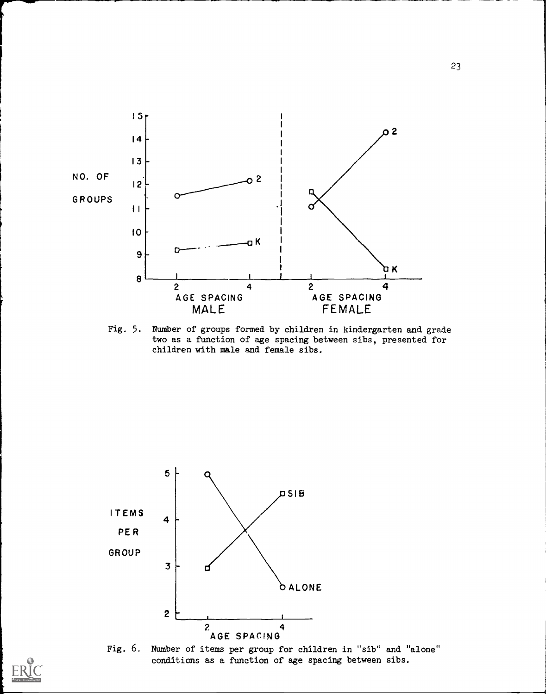

Fig. 5. Number of groups formed by children in kindergarten and grade two as a function of age spacing between sibs, presented for children with male and female sibs.





23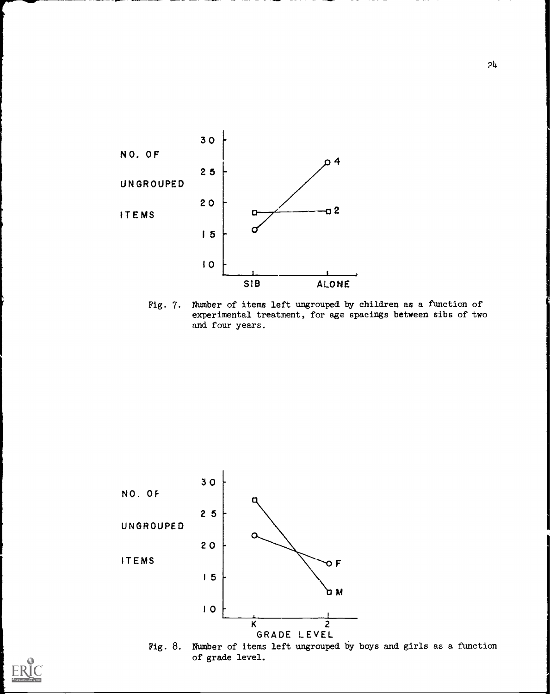

Fig. 7. Number of items left ungrouped by children as a function of experimental treatment, for age spacings between sibs of two and four years.



Fig. 8. Number of items left ungrouped by boys and girls as a function of grade level.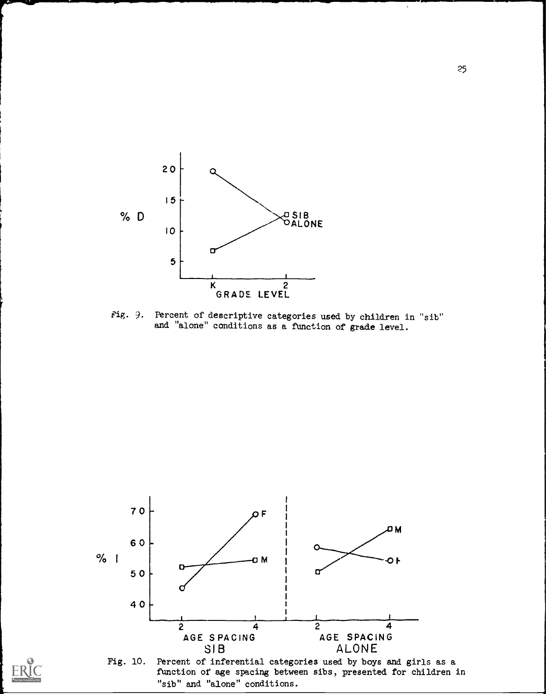

Fig. 9. Percent of descriptive categories used by children in "sib" and "alone" conditions as a function of grade level.



25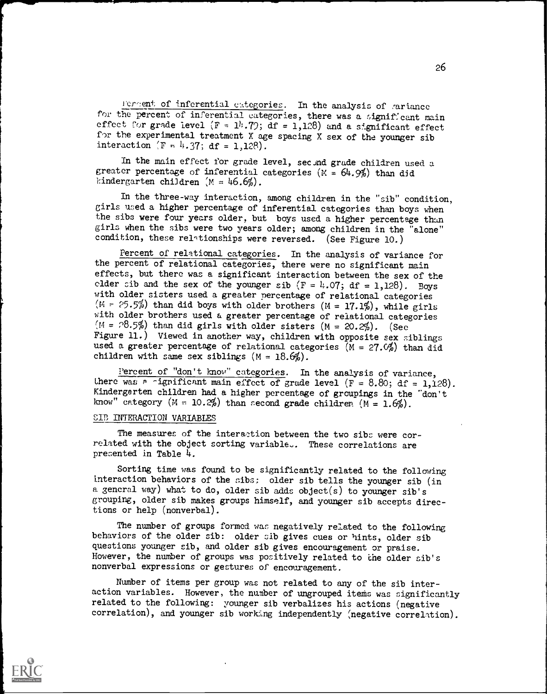Icreent of inferential categories. In the analysis of rariance for the percent of inferential categories, there was a significant main effect for grade level  $(F = 1^h \cdot 72; \text{ d}f = 1,128)$  and a significant effect for the experimental treatment X age spacing X sex of the younger sib interaction  $(F = 4.37; df = 1,128)$ .

In the main effect for grade level, second grade children used a greater percentage of inferential categories  $(N = 64.9%)$  than did kindergarten children  $(M = 46.6\%)$ .

In the three-way interaction, among children in the "sib" condition, girls used a higher percentage of inferential categories than boys when the sibs were four years older, but boys used a higher percentage than girls when the sibs were two years older; among children in the "alone" condition, these relationships were reversed. (See Figure 10.)

Percent of relational categories. In the analysis of variance for the percent of relational categories, there were no significant main effects, but there was a significant interaction between the sex of the clder sib and the sex of the younger sib  $(F = 4.07; df = 1,128)$ . Boys with older sisters used a greater percentage of relational categories  $(M = 25.5\%)$  than did boys with older brothers  $(M = 17.1\%)$ , while girls with older brothers used a greater percentage of relational categories  $(M = 28.5\%)$  than did girls with older sisters  $(M = 20.2\%)$ . (See Figure 11.) Viewed in another way, children with opposite sex siblings used a greater percentage of relational categories ( $M = 27 \, \mathcal{O}_k$ ) than did children with same sex siblings  $(M = 18.6\%)$ .

Percent of "don't know" categories. In the analysis of variance, there was a -ignificant main effect of grade level (F = 8.80; df = 1,128). Kindergarten children had a higher percentage of groupings in the "don't know" category  $(M = 10.2%)$  than second grade children  $(M = 1.6%)$ .

### SIB INTERACTION VARIABLES

The measures of the interaction between the two sibs were cor related with the object sorting variable.. These correlations are presented in Table 4.

Sorting time was found to be significantly related to the following interaction behaviors of the sibs: older sib tells the younger sib (in a general way) what to do, older sib adds object(s) to younger sib's grouping, older sib makes groups himself, and younger sib accepts directions or help (nonverbal).

The number of groups formed was negatively related to the following behaviors of the older sib: older sib gives cues or hints, older sib questions younger sib, and older sib gives encouragement or praise. However, the number of groups was positively related to the older sib's nonverbal expressions or gestures of encouragement.

Number of items per group was not related to any of the sib interaction variables. However, the number of ungrouped items was significantly related to the following: younger sib verbalizes his actions (negative correlation), and younger sib working independently (negative correlation).



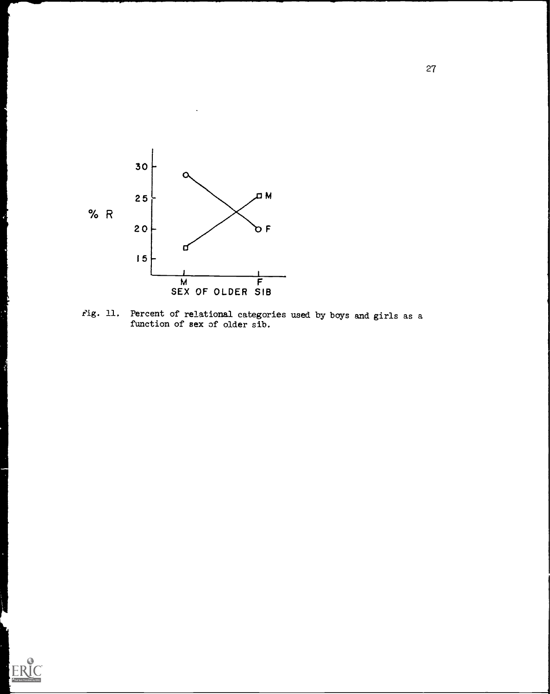

Fig. 11. Percent of relational categories used by boys and girls as a function of sex of older sib.

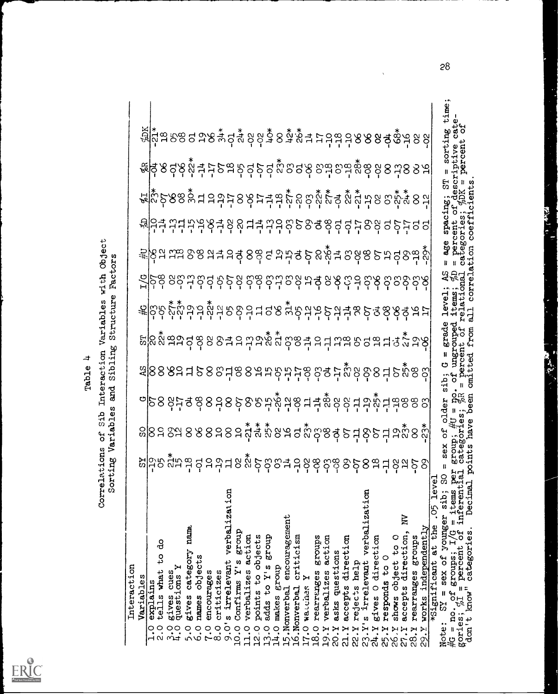

# Table 4<br>Correlations of Sib Interaction Variables with Object<br>Sorting Variables and Sibling Structure Factors

|             |           |                        |                                                                              |                |                  |                |                    |                  |              |                        |                   |                        |                  |               |              |               |                 |            |                |                   |                   |                                 |                   |             |                   |                    |                   |                     |                     | 田<br>11                   |                                                |                                  |  |  |
|-------------|-----------|------------------------|------------------------------------------------------------------------------|----------------|------------------|----------------|--------------------|------------------|--------------|------------------------|-------------------|------------------------|------------------|---------------|--------------|---------------|-----------------|------------|----------------|-------------------|-------------------|---------------------------------|-------------------|-------------|-------------------|--------------------|-------------------|---------------------|---------------------|---------------------------|------------------------------------------------|----------------------------------|--|--|
|             |           |                        | ၛ <u>ြိုင်္ဂီး</u><br>ဗြိုင်္ဂီးဆီအေရ အေန မူ ဒုံမှ အေန အဆံ့ မေ အေန အဆံ့အ အေန |                |                  |                |                    |                  |              |                        |                   |                        |                  |               |              |               |                 |            |                |                   |                   |                                 |                   |             |                   |                    |                   |                     |                     | sorting                   | cate<br>. of                                   |                                  |  |  |
|             |           |                        | <u>ႜ</u> ၜႜ႞ၔၟၣၛၟၯၟၯၟၯၟၣၛၣၛၯၟၣၣၛၟၣၣၛၯၟၯၟၯၟၣၣၣၣၣၣၣ                            |                |                  |                |                    |                  |              |                        |                   |                        |                  |               |              |               |                 |            |                |                   |                   |                                 |                   |             |                   |                    |                   |                     |                     |                           | iptive<br>percent                              |                                  |  |  |
|             |           |                        | <u>ႜၛၯၙ</u> ၣၜၜၟၓၟၯၟၜၟၟၟၣၟၣၟၣၛၟၯၟၯၟၯၟၯၟၯၟၯၟၯၟၯၟၯၟၯၟၯၟၣၯ                      |                |                  |                |                    |                  |              |                        |                   |                        |                  |               |              |               |                 |            |                |                   |                   |                                 |                   |             |                   |                    |                   |                     |                     | ದ<br>೧                    |                                                | ents                             |  |  |
|             |           |                        | <sub>열</sub> 음쿠 꾸다꾸꾸옹쿠옹요 디쿠 꾸우 후 동종 총 후 후 누옹왕 리 두 두리 리                       |                |                  |                |                    |                  |              |                        |                   |                        |                  |               |              |               |                 |            |                |                   |                   |                                 |                   |             |                   |                    |                   |                     |                     | spacing;                  | centc                                          | $\mathfrak{c}$ oe $\mathfrak{f}$ |  |  |
|             |           |                        | <u>ုး</u> တြင်း ယမ္း ၁၉ မြန္မာ ၁၉ မြန္မာ ၁၉ မြန္မာ ၁၉ မြန္မာ ၁၉ မြန္မာ မို႔  |                |                  |                |                    |                  |              |                        |                   |                        |                  |               |              |               |                 |            |                |                   |                   |                                 |                   |             |                   |                    |                   |                     |                     | age                       | <b>go</b>                                      | g                                |  |  |
|             |           |                        | ဦြင်္ခ ၀ွင္တ ႕ ၀ွင္ ၀ွင္ ၀ွင္ ၀ွင္တ ၁၀ွင္ ႕ ၃ ၀ွင္ ၁ ၀ွင္ ၀ွင္ ၀ွင္ ၁၀ွင္    |                |                  |                |                    |                  |              |                        |                   |                        |                  |               |              |               |                 |            |                |                   |                   |                                 |                   |             |                   |                    |                   |                     |                     |                           | level; AS<br>items; %D<br>relational           | correla                          |  |  |
|             |           |                        | <u>ႜၛ</u> ႝၣၣၛၟၟၣၣၛၟၯၣၣၣၣၣၣၜၛၯၟၣၣၣၣၣၣၣၣၣၣၣၣၣၣၣၣ                              |                |                  |                |                    |                  |              |                        |                   |                        |                  |               |              |               |                 |            |                |                   |                   |                                 |                   |             |                   |                    |                   |                     |                     |                           |                                                | $\overline{a}$                   |  |  |
|             |           |                        | <u>ႜ</u> ႜႋ႞ၜၑၟၟၣၛၟၣၜႝၜၟၣၯၟၣၯၟၣၯၟၣၣၣၣၣၣၣၣၣၣၣၣၣၣၣၣၣ                           |                |                  |                |                    |                  |              |                        |                   |                        |                  |               |              |               |                 |            |                |                   |                   |                                 |                   |             |                   |                    |                   |                     |                     | $G = grad$ e<br>ungrouped | $\frac{1}{\sigma}$                             | from                             |  |  |
|             |           |                        | အျဲ88881588815888596957688550898596989                                       |                |                  |                |                    |                  |              |                        |                   |                        |                  |               |              |               |                 |            |                |                   |                   |                                 |                   |             |                   |                    |                   |                     |                     | ä                         | mear<br>p                                      | ted<br>员                         |  |  |
|             |           |                        |                                                                              |                |                  |                |                    |                  |              |                        |                   |                        |                  |               |              |               |                 |            |                |                   |                   |                                 |                   |             |                   |                    |                   |                     |                     | der                       |                                                | been                             |  |  |
|             |           |                        |                                                                              |                |                  |                |                    |                  |              |                        |                   |                        |                  |               |              |               |                 |            |                |                   |                   |                                 |                   |             |                   |                    |                   |                     |                     | မ္မ                       |                                                | have                             |  |  |
|             |           |                        | ႜႜၐႝၣၜၟၯၟၣၜၟၣၣၣၛၣၣၯၟၣၣၣၣၣၣၣၣၣၣၣၣၣၣၣၣၣၣ                                       |                |                  |                |                    |                  |              |                        |                   |                        |                  |               |              |               |                 |            |                |                   |                   |                                 |                   |             |                   |                    |                   |                     |                     |                           |                                                | points                           |  |  |
|             |           |                        |                                                                              |                |                  |                |                    |                  |              |                        |                   |                        |                  |               |              |               |                 |            |                |                   |                   |                                 |                   |             |                   |                    |                   |                     | 5<br>$.05$ lev      | ō<br>sib;                 | $T/G = 1$ tems<br>c of inferent                | Decimal                          |  |  |
|             |           | ಕೆ                     |                                                                              | name           |                  |                |                    | verbalization    | group        |                        |                   |                        |                  | encouragement |              |               | groups          | action     |                |                   |                   | 23.Y's irrelevant verbalization |                   |             |                   | È                  |                   |                     |                     | sex of younger            |                                                |                                  |  |  |
|             |           | o<br>4                 |                                                                              | gives category | names objects    |                |                    |                  |              | 11.0 verbalizes action | points to objects | 13.0 adds to Y's group |                  |               | criticism    |               |                 |            | asks questions | accepts direction |                   |                                 | gives O direction | $\circ$     | shows object to O | accepts direction, | rearranges groups | works independently | *Significant at the | of groups;                | percent                                        | categories.                      |  |  |
| Interaction | Variables | tells what<br>explains | gives cues<br>questions Y<br>gives                                           |                |                  | encourages     | criticizes         | 9.0's irrelevant | Confirms Y's |                        |                   |                        | 14.0 makes group | 15. Nonverbal | 16.Nonverbal | 17.0 wardines | 18.0 rearranges | verbalizes |                |                   | 22.Y rejects help |                                 |                   | responds to |                   |                    |                   |                     |                     | ll<br>$\Omega$            | H                                              | don't know"                      |  |  |
|             |           | o.c<br>$\frac{0}{1}$   | $\frac{0}{1}$                                                                | $\ddot{\cdot}$ | $\ddot{\circ}$ . | $\ddot{\cdot}$ | $\frac{0}{\infty}$ |                  | 0.01         |                        | 12.0              |                        |                  |               |              |               |                 | 19.Y       | <b>ZO.Y</b>    | 21.Y              |                   |                                 | 24.Y              | 25.Y        | 26.Y              | 27.Y               | 28.1              | P.                  |                     | Note:                     | $\frac{40}{\pi}$ = no. $\frac{01}{\sqrt{2}}$ . |                                  |  |  |
|             |           |                        |                                                                              |                |                  |                |                    |                  |              |                        |                   |                        |                  |               |              |               |                 |            |                |                   |                   |                                 |                   |             |                   |                    |                   |                     |                     |                           |                                                |                                  |  |  |

 $28$ 

Ford to

**ASSESS**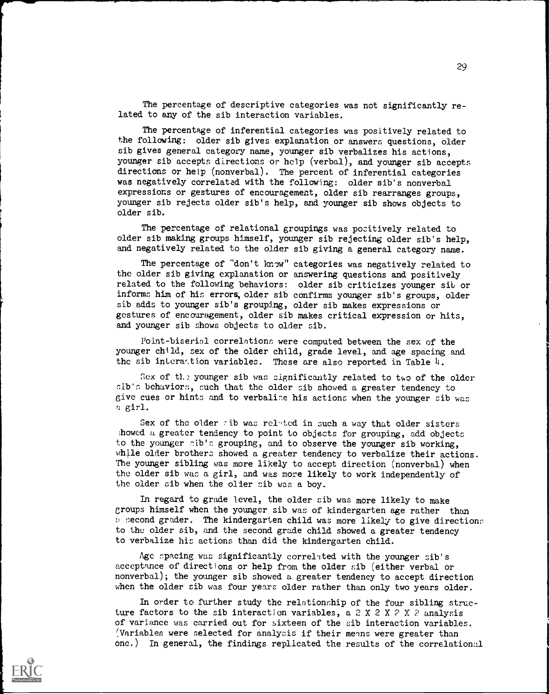The percentage of descriptive categories was not significantly related to any of the sib interaction variables.

The percentage of inferential categories was positively related to the following: older sib gives explanation or answers questions, older sib gives general category name, younger sib verbalizes his actions, younger sib accepts directions or help (verbal), and younger sib accepts directions or help (nonverbal). The percent of inferential categories was negatively correlated with the following: older sib's nonverbal expressions or gestures of encouragement, older sib rearranges groups, younger sib rejects older sib's help, and younger sib shows objects to older sib.

The percentage of relational groupings was positively related to older sib making groups himself, younger sib rejecting older sib's help, and negatively related to the older sib giving a general category name.

The percentage of "don't know" categories was negatively related to the older sib giving explanation or answering questions and positively related to the following behaviors: older sib criticizes younger sib or informs him of his errors, older sib confirms younger sib's groups, older sib adds to younger sib's grouping, older sib makes expressions or gestures of encouragement, older sib makes critical expression or hits, and younger sib shows objects to older sib.

Point-biserial correlations were computed between the sex of the younger child, sex of the older child, grade level, and age spacing and the sib interation variables. These are also reported in Table  $4$ .

Sex of the younger sib was significantly related to two of the older sib's behaviors, such that the older sib showed a greater tendency to give cues or hints and to verbalise his actions when the younger sib was a girl.

Sex of the older wib was related in such a way that older sisters ;hewed a greater tendency to point to objects for grouping, add objects to the younger sib's grouping, and to observe the younger sib working, while older brothers showed a greater tendency to verbalize their actions. The younger sibling was more likely to accept direction (nonverbal) when the older sib was a girl, and was more likely to work independently of the older sib when the older sib was a boy.

In regard to grade level, the older sib was more likely to make groups himself when the younger sib was of kindergarten age rather than s second grader. The kindergarten child was more likely to give directions to the older sib, and the second grade child showed a greater tendency to verbalize his actions than did the kindergarten child.

Age spacing was significantly correlated with the younger sib's acceptance of directions or help from the older sib (either verbal or nonverbal); the younger sib showed a greater tendency to accept direction when the older sib was four years older rather than only two years older.

In order to further study the relationship of the four sibling structure factors to the sib interaction variables, a 2 X 2 X  $>$  X  $>$  analysis of variance was carried out for sixteen of the sib interaction variables. (Variables were selected for analysis if their menns were greater than one.) In general, the findings replicated the results of the correlational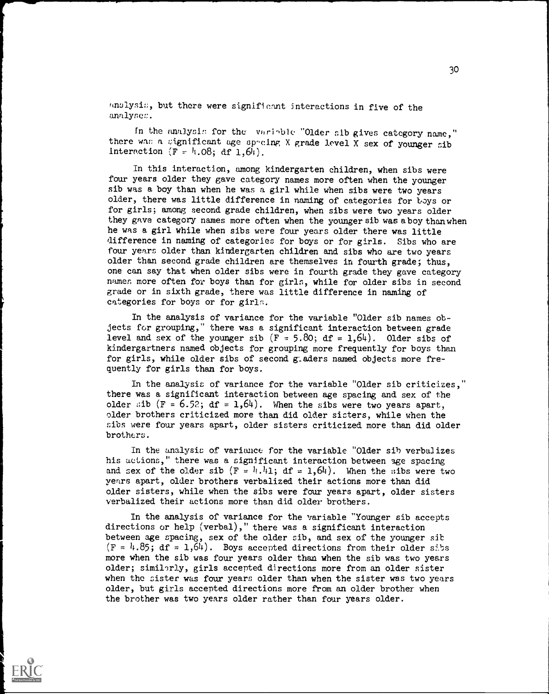anolysis, but there were significant interactions in five of the analyne::.

In the analysis for the variable "Older sib gives category name," there wan a significant age spacing X grade level X sex of younger sib interaction  $(F - h.08; df 1, 6h)$ .

In this interaction, among kindergarten children, when sibs were four years older they gave category names more often when the younger sib was a boy than when he was a girl while when sibs were two years older, there was little difference in naming of categories for boys or for girls; among second grade children, when sibs were two years older they gave category names more often when the younger sib was aboythanwhen he was a girl while when sibs were four years older there was little difference in naming of categories for boys or for girls. Sibs who are four years older than kindergarten children and sibs who are two years older than second grade children are themselves in fourth grade; thus, one can say that when older sibs were in fourth grade they gave category names more often for boys than for girls, while for older sibs in second grade or in sixth grade, there was little difference in naming of categories for boys or for girls.

In the analysis of variance for the variable "Older sib names objects for grouping," there was a significant interaction between grade level and sex of the younger sib  $(F = 5.80; df = 1,64)$ . Older sibs of kindergartners named objects for grouping more frequently for boys than for girls, while older sibs of second gladers named objects more frequently for girls than for boys.

In the analysis of variance for the variable "Older sib criticizes," there was a significant interaction between age spacing and sex of the older sib (F = 6.52; df = 1.64). When the sibs were two years apart, older brothers criticized more than did older sisters, while when the sibs were four years apart, older sisters criticized more than did older brothcrs.

In the analysis of variance for the variable "Older sib verbalizes his actions," there was a significant interaction between age spacing and sex of the older sib  $(F = h, h_1; df = 1, 64)$ . When the sibs were two years apart, older brothers verbalized their actions more than did older sisters, while when the sibs were four years apart, older sisters verbalized their actions more than did older brothers.

In the analysis of variance for the variable "Younger sib accepts directions or help (verbal)," there was a significant interaction between age spacing, sex of the older sib, and sex of the younger sib  $(F = \{4.85\}; df = 1.64)$ . Boys accepted directions from their older sibs more when the sib was four years older than when the sib was two years older; similarly, girls accepted directions more from an older sister when the sister was four years older than when the sister was two years older, but girls accepted directions more from an older brother when the brother was two years older rather than four years older.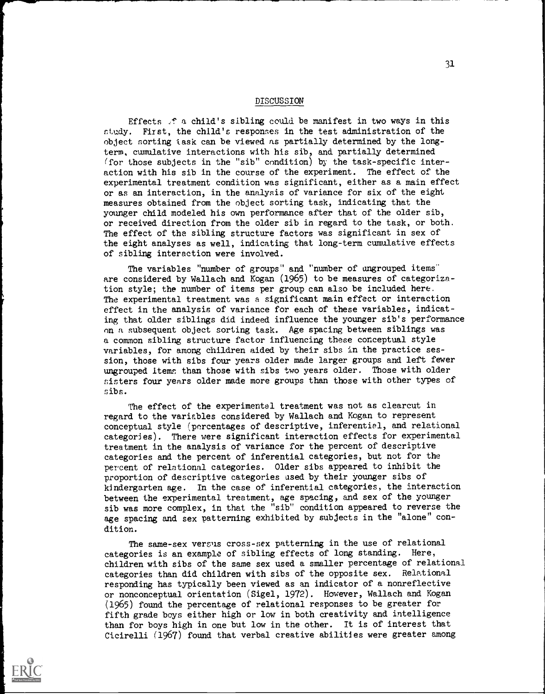### DISCUSSION

Effects  $f$  a child's sibling could be manifest in two ways in this study. First, the child's responses in the test administration of the object sorting task can be viewed as partially determined by the longterm, cumulative interactions with his sib, and partially determined (for those subjects in the "sib" condition) by the task-specific interaction with his sib in the course of the experiment. The effect of the experimental treatment condition was significant, either as a main effect or as an interaction, in the analysis of variance for six of the eight measures obtained from the object sorting task, indicating that the younger child modeled his own performance after that of the older sib, or received direction from the older sib in regard to the task, or both. The effect of the sibling structure factors was significant in sex of the eight analyses as well, indicating that long-term cumulative effects of sibling interaction were involved.

The variables "number of groups" and "number of ungrouped items" are considered by Wallach and Kogan (1965) to be measures of categorization style; the number of items per group can also be included here. The experimental treatment was a significant main effect or interaction effect in the analysis of variance for each of these variables, indicating that older siblings did indeed influence the younger sib's performance on a subsequent object sorting task. Age spacing between siblings was a common sibling structure factor influencing these conceptual style variables, for among children aided by their sibs in the practice session, those with sibs four years older made larger groups and left fewer ungrouped items than those with sibs two years older. Those with older sisters four years older made more groups than those with other types of sibs.

The effect of the experimental treatment was not as clearcut in regard to the variables considered by Wallach and Kogan to represent conceptual style (percentages of descriptive, inferential, and relational categories). There were significant interaction effects for experimental treatment in the analysis of variance for the percent of descriptive categories and the percent of inferential categories, but not for the percent of relational categories. Older sibs appeared to inhibit the proportion of descriptive categories used by their younger sibs of kindergarten age. In the case of inferential categories, the interaction between the experimental treatment, age spacing, and sex of the younger sib was more complex, in that the "sib" condition appeared to reverse the age spacing and sex patterning exhibited by subjects in the "alone" condition.

The same-sex versus cross-sex patterning in the use of relational categories is an example of sibling effects of long standing. Here, children with sibs of the same sex used a smaller percentage of relational categories than did children with sibs of the opposite sex. Relational responding has typically been viewed as an indicator of a nonreflective or nonconceptual orientation (Sigel, 1972). However, Wallach and Kogan (1965) found the percentage of relational responses to be greater for fifth grade boys either high or low in both creativity and intelligence than for boys high in one but low in the other. It is of interest that Cicirelli (1967) found that verbal creative abilities were greater among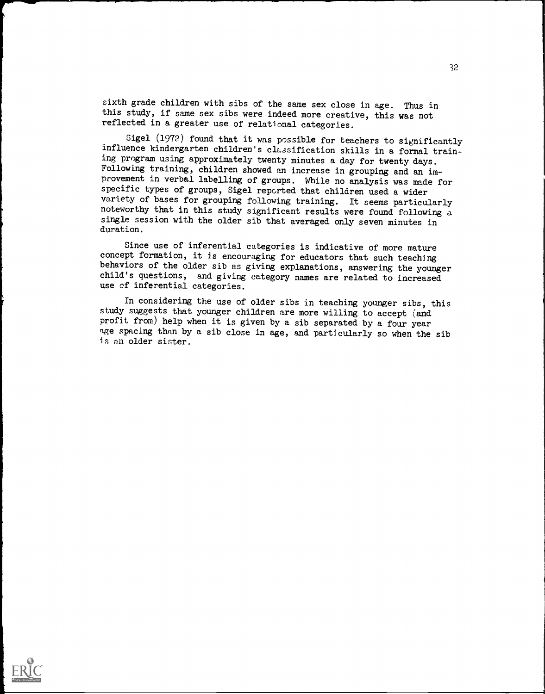sixth grade children with sibs of the same sex close in age. Thus in this study, if same sex sibs were indeed more creative, this was not reflected in a greater use of relational categories.

Sigel (1972) found that it was possible for teachers to significantly influence kindergarten children's classification skills in a formal training program using approximately twenty minutes a day for twenty days. Following training, children showed an increase in grouping and an improvement in verbal labelling of groups. While no analysis was made for specific types of groups, Sigel reported that children used a wider variety of bases for grouping following training. It seems particularly noteworthy that in this study significant results were found following a single session with the older sib that averaged only seven minutes in duration.

Since use of inferential categories is indicative of more mature concept formation, it is encouraging for educators that such teaching behaviors of the older sib as giving explanations, answering the younger child's questions, and giving category names are related to increased use cf inferential categories.

In considering the use of older sibs in teaching younger sibs, this study suggests that younger children are more willing to accept (and profit from) help when it is given by a sib separated by a four year age spacing than by a sib close in age, and particularly so when the sib is an older sister.

32

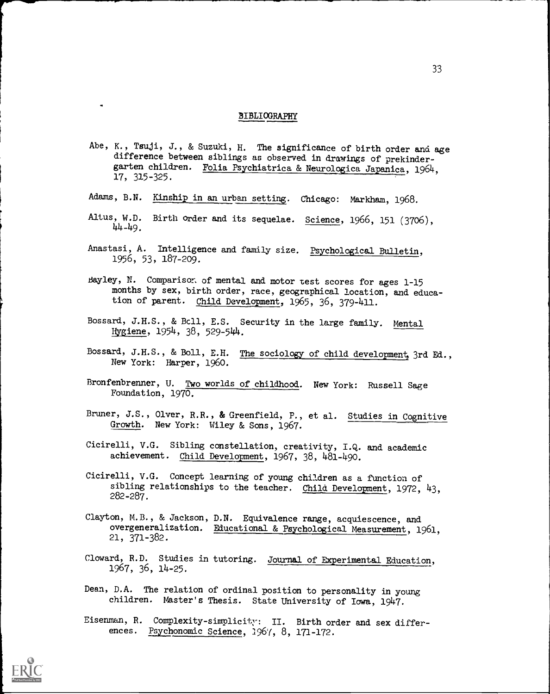### BIBLIOGRAPHY

- Abe, K., Tsuji, J., & Suzuki, H. The significance of birth order and age difference between siblings as observed in drawings of prekindergarten children. Folia Psychiatrica & Neurologica Japanica, 1964, 17, 315-325.
- Adams, B.N. Kinship in an urban setting. Chicago: Markham, 1968.
- Altus, W.D. Birth order and its sequelae. Science, 1966, 151 (3706), 44-49.
- Anastasi, A. Intelligence and family size. Psychological Bulletin, 1956, 53, 187-209.
- Bayley, N. Comparison of mental and motor test scores for ages 1-15 months by sex, birth order, race, geographical location, and education of parent. Child Development, 1965, 36, 379-411.
- Bossard, J.H.S., & Bc11, E.S. Security in the large family. Mental Hygiene, 1954, 38, 529-544.
- Bossard, J.H.S., & Boll, E.H. The sociology of child development, 3rd Ed., New York: Harper, 1960.
- Bronfenbrenner, U. Two worlds of childhood. New York: Russell Sage Foundation, 1970.
- Bruner, J.S., Olver, R.R., & Greenfield, P., et al. Studies in Cognitive Growth. New York: Wiley & Sons, 1967.
- Cicirelli, V.G. Sibling constellation, creativity, I.Q. and academic achievement. Child Development, 1967, 38, 481-490.
- Cicirelli, V.G. Concept learning of young children as a function of sibling relationships to the teacher. Child Development, 1972, 43, 282-287.
- Clayton, M.B., & Jackson, D.N. Equivalence range, acquiescence, and overgeneralization. Educational & Psychological Measurement, 1961, 21, 371-382.
- Cloward, R.D. Studies in tutoring. Journal of Experimental Education, 1967, 36, 14-25.
- Dean, D.A. The relation of ordinal position to personality in young children. Master's Thesis. State University of Iowa., 1947.
- Eisenman, R. Complexity-simplicity: II. Birth order and sex differences. Psychonomic Science, 1967, 8, 171-172.

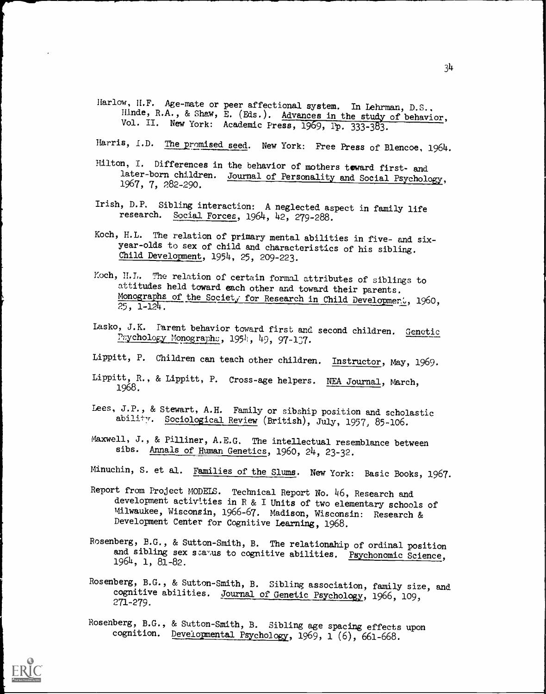- Harlow, H.F. Age-mate or peer affectional system. In Lehrman, D.S., Hinde, R.A., & Shaw, E. (Eds.). Advances in the study of behavior, Vol. II. New York: Academic Press, 1969, Pp. 333-383.
- Harris, I.D. The promised seed. New York: Free Press of Blencoe, 1964.
- Hilton, I. Differences in the behavior of mothers toward first- and later-born children. Journal of Personality and Social Psychology, 1967, 7, 282-290.
- Irish, D.P. Sibling interaction: A neglected aspect in family life research. Social Forces, 1964, 42, 279-288.
- Koch, H.L. The relation of primary mental abilities in five- and sixyear-olds to sex of child and characteristics of his sibling. Child Development, 1954, 25, 209-223.
- Koch, H.L. The relation of certain formal attributes of siblings to attitudes held toward each other and toward their parents. Monographs of the Societ, for Research in Child Developmer., 1960, 25, 1-124.
- Lasko, J.K. Parent behavior toward first and second children. Genetic Psychology Monographs, 1954, 49, 97-137.
- Lippitt, P. Children can teach other children. Instructor, May, 1969
- Lippitt, R., & Lippitt, P. Cross-age helpers. NEA Journal, March, 1968.
- Lees, J.P., & Stewart, A.H. Family or sibship position and scholastic ability. Sociological Review (British), July, 1957, 85-106.
- Maxwell, J., & Pilliner, A.E.G. The intellectual resemblance between sibs. Annals of Human Genetics, 1960, 24, 23-32.
- Minuchin, S. et al. Families of the Slums. New York: Basic Books, 1967.
- Report from Project MODELS. Technical Report No. 46, Research and development activities in R & I Units of two elementary schools of Milwaukee, Wisconsin, 1966-67. Madison, Wisconsin: Research & Development Center for Cognitive Learning, 1968.
- Rosenberg, B.G., & Sutton-Smith, B. The relationship of ordinal position and sibling sex status to cognitive abilities. Psychonomic Science, 1964, 1, 81-82.
- Rosenberg, B.G., & Sutton-Smith, B. Sibling association, family size, and cognitive abilities. Journal of Genetic Psychology, 1966, 109, 271-279.
- Rosenberg, B.G., & Sutton-Smith, B. Sibling age spacing effects upon cognition. Developmental Psychology, 1969, 1 (6), 661-668.